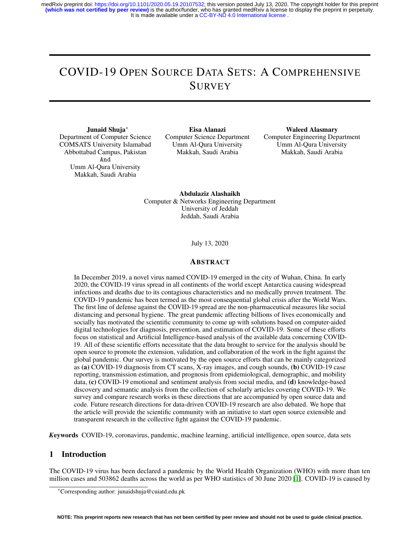# COVID-19 OPEN SOURCE DATA SETS: A COMPREHENSIVE **SURVEY**

Junaid Shuja<sup>∗</sup>

Department of Computer Science COMSATS University Islamabad Abbottabad Campus, Pakistan And Umm Al-Qura University Makkah, Saudi Arabia

Eisa Alanazi Computer Science Department Umm Al-Qura University Makkah, Saudi Arabia

Waleed Alasmary Computer Engineering Department Umm Al-Qura University Makkah, Saudi Arabia

Abdulaziz Alashaikh Computer & Networks Engineering Department University of Jeddah Jeddah, Saudi Arabia

July 13, 2020

#### ABSTRACT

In December 2019, a novel virus named COVID-19 emerged in the city of Wuhan, China. In early 2020, the COVID-19 virus spread in all continents of the world except Antarctica causing widespread infections and deaths due to its contagious characteristics and no medically proven treatment. The COVID-19 pandemic has been termed as the most consequential global crisis after the World Wars. The first line of defense against the COVID-19 spread are the non-pharmaceutical measures like social distancing and personal hygiene. The great pandemic affecting billions of lives economically and socially has motivated the scientific community to come up with solutions based on computer-aided digital technologies for diagnosis, prevention, and estimation of COVID-19. Some of these efforts focus on statistical and Artificial Intelligence-based analysis of the available data concerning COVID-19. All of these scientific efforts necessitate that the data brought to service for the analysis should be open source to promote the extension, validation, and collaboration of the work in the fight against the global pandemic. Our survey is motivated by the open source efforts that can be mainly categorized as (a) COVID-19 diagnosis from CT scans, X-ray images, and cough sounds, (b) COVID-19 case reporting, transmission estimation, and prognosis from epidemiological, demographic, and mobility data, (c) COVID-19 emotional and sentiment analysis from social media, and (d) knowledge-based discovery and semantic analysis from the collection of scholarly articles covering COVID-19. We survey and compare research works in these directions that are accompanied by open source data and code. Future research directions for data-driven COVID-19 research are also debated. We hope that the article will provide the scientific community with an initiative to start open source extensible and transparent research in the collective fight against the COVID-19 pandemic.

*K*eywords COVID-19, coronavirus, pandemic, machine learning, artificial intelligence, open source, data sets

## 1 Introduction

The COVID-19 virus has been declared a pandemic by the World Health Organization (WHO) with more than ten million cases and 503862 deaths across the world as per WHO statistics of 30 June 2020 [\[1\]](#page-22-0). COVID-19 is caused by

<sup>∗</sup>Corresponding author: junaidshuja@cuiatd.edu.pk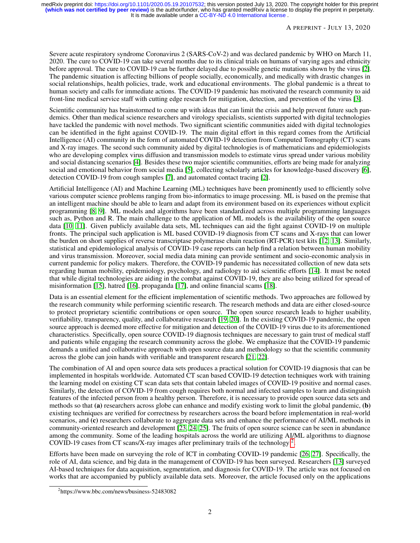Severe acute respiratory syndrome Coronavirus 2 (SARS-CoV-2) and was declared pandemic by WHO on March 11, 2020. The cure to COVID-19 can take several months due to its clinical trials on humans of varying ages and ethnicity before approval. The cure to COVID-19 can be further delayed due to possible genetic mutations shown by the virus [\[2\]](#page-23-0). The pandemic situation is affecting billions of people socially, economically, and medically with drastic changes in social relationships, health policies, trade, work and educational environments. The global pandemic is a threat to human society and calls for immediate actions. The COVID-19 pandemic has motivated the research community to aid front-line medical service staff with cutting edge research for mitigation, detection, and prevention of the virus [\[3\]](#page-23-1).

Scientific community has brainstormed to come up with ideas that can limit the crisis and help prevent future such pandemics. Other than medical science researchers and virology specialists, scientists supported with digital technologies have tackled the pandemic with novel methods. Two significant scientific communities aided with digital technologies can be identified in the fight against COVID-19. The main digital effort in this regard comes from the Artificial Intelligence (AI) community in the form of automated COVID-19 detection from Computed Tomography (CT) scans and X-ray images. The second such community aided by digital technologies is of mathematicians and epidemiologists who are developing complex virus diffusion and transmission models to estimate virus spread under various mobility and social distancing scenarios [\[4\]](#page-23-2). Besides these two major scientific communities, efforts are being made for analyzing social and emotional behavior from social media [\[5\]](#page-23-3), collecting scholarly articles for knowledge-based discovery [\[6\]](#page-23-4), detection COVID-19 from cough samples [\[7\]](#page-23-5), and automated contact tracing [\[2\]](#page-23-0).

Artificial Intelligence (AI) and Machine Learning (ML) techniques have been prominently used to efficiently solve various computer science problems ranging from bio-informatics to image processing. ML is based on the premise that an intelligent machine should be able to learn and adapt from its environment based on its experiences without explicit programming [\[8,](#page-23-6) [9\]](#page-23-7). ML models and algorithms have been standardized across multiple programming languages such as, Python and R. The main challenge to the application of ML models is the availability of the open source data [\[10,](#page-23-8) [11\]](#page-23-9). Given publicly available data sets, ML techniques can aid the fight against COVID-19 on multiple fronts. The principal such application is ML based COVID-19 diagnosis from CT scans and X-rays that can lower the burden on short supplies of reverse transcriptase polymerase chain reaction (RT-PCR) test kits [\[12,](#page-23-10) [13\]](#page-23-11). Similarly, statistical and epidemiological analysis of COVID-19 case reports can help find a relation between human mobility and virus transmission. Moreover, social media data mining can provide sentiment and socio-economic analysis in current pandemic for policy makers. Therefore, the COVID-19 pandemic has necessitated collection of new data sets regarding human mobility, epidemiology, psychology, and radiology to aid scientific efforts [\[14\]](#page-23-12). It must be noted that while digital technologies are aiding in the combat against COVID-19, they are also being utilized for spread of misinformation [\[15\]](#page-23-13), hatred [\[16\]](#page-23-14), propaganda [\[17\]](#page-23-15), and online financial scams [\[18\]](#page-23-16).

Data is an essential element for the efficient implementation of scientific methods. Two approaches are followed by the research community while performing scientific research. The research methods and data are either closed-source to protect proprietary scientific contributions or open source. The open source research leads to higher usability, verifiability, transparency, quality, and collaborative research [\[19,](#page-23-17) [20\]](#page-23-18). In the existing COVID-19 pandemic, the open source approach is deemed more effective for mitigation and detection of the COVID-19 virus due to its aforementioned characteristics. Specifically, open source COVID-19 diagnosis techniques are necessary to gain trust of medical staff and patients while engaging the research community across the globe. We emphasize that the COVID-19 pandemic demands a unified and collaborative approach with open source data and methodology so that the scientific community across the globe can join hands with verifiable and transparent research [\[21,](#page-23-19) [22\]](#page-23-20).

The combination of AI and open source data sets produces a practical solution for COVID-19 diagnosis that can be implemented in hospitals worldwide. Automated CT scan based COVID-19 detection techniques work with training the learning model on existing CT scan data sets that contain labeled images of COVID-19 positive and normal cases. Similarly, the detection of COVID-19 from cough requires both normal and infected samples to learn and distinguish features of the infected person from a healthy person. Therefore, it is necessary to provide open source data sets and methods so that (a) researchers across globe can enhance and modify existing work to limit the global pandemic, (b) existing techniques are verified for correctness by researchers across the board before implementation in real-world scenarios, and (c) researchers collaborate to aggregate data sets and enhance the performance of AI/ML methods in community-oriented research and development [\[23,](#page-23-21) [24,](#page-24-0) [25\]](#page-24-1). The fruits of open source science can be seen in abundance among the community. Some of the leading hospitals across the world are utilizing AI/ML algorithms to diagnose COVID-19 cases from CT scans/X-ray images after preliminary trails of the technology<sup>[2](#page-1-0)</sup>.

Efforts have been made on surveying the role of ICT in combating COVID-19 pandemic [\[26,](#page-24-2) [27\]](#page-24-3). Specifically, the role of AI, data science, and big data in the management of COVID-19 has been surveyed. Researchers [\[13\]](#page-23-11) surveyed AI-based techniques for data acquisition, segmentation, and diagnosis for COVID-19. The article was not focused on works that are accompanied by publicly available data sets. Moreover, the article focused only on the applications

<span id="page-1-0"></span><sup>2</sup> https://www.bbc.com/news/business-52483082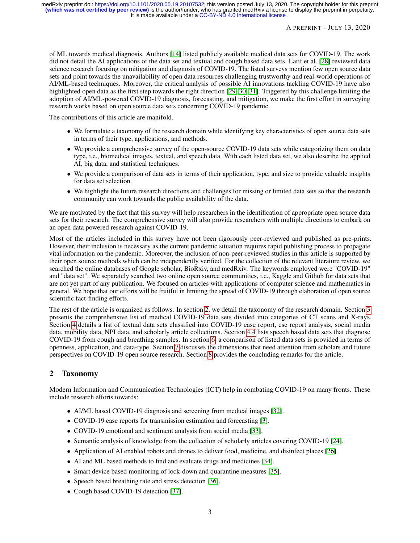of ML towards medical diagnosis. Authors [\[14\]](#page-23-12) listed publicly available medical data sets for COVID-19. The work did not detail the AI applications of the data set and textual and cough based data sets. Latif et al. [\[28\]](#page-24-4) reviewed data science research focusing on mitigation and diagnosis of COVID-19. The listed surveys mention few open source data sets and point towards the unavailability of open data resources challenging trustworthy and real-world operations of AI/ML-based techniques. Moreover, the critical analysis of possible AI innovations tackling COVID-19 have also highlighted open data as the first step towards the right direction [\[29,](#page-24-5) [30,](#page-24-6) [31\]](#page-24-7). Triggered by this challenge limiting the adoption of AI/ML-powered COVID-19 diagnosis, forecasting, and mitigation, we make the first effort in surveying research works based on open source data sets concerning COVID-19 pandemic.

The contributions of this article are manifold.

- We formulate a taxonomy of the research domain while identifying key characteristics of open source data sets in terms of their type, applications, and methods.
- We provide a comprehensive survey of the open-source COVID-19 data sets while categorizing them on data type, i.e., biomedical images, textual, and speech data. With each listed data set, we also describe the applied AI, big data, and statistical techniques.
- We provide a comparison of data sets in terms of their application, type, and size to provide valuable insights for data set selection.
- We highlight the future research directions and challenges for missing or limited data sets so that the research community can work towards the public availability of the data.

We are motivated by the fact that this survey will help researchers in the identification of appropriate open source data sets for their research. The comprehensive survey will also provide researchers with multiple directions to embark on an open data powered research against COVID-19.

Most of the articles included in this survey have not been rigorously peer-reviewed and published as pre-prints. However, their inclusion is necessary as the current pandemic situation requires rapid publishing process to propagate vital information on the pandemic. Moreover, the inclusion of non-peer-reviewed studies in this article is supported by their open source methods which can be independently verified. For the collection of the relevant literature review, we searched the online databases of Google scholar, BioRxiv, and medRxiv. The keywords employed were "COVID-19" and "data set". We separately searched two online open source communities, i.e., Kaggle and Github for data sets that are not yet part of any publication. We focused on articles with applications of computer science and mathematics in general. We hope that our efforts will be fruitful in limiting the spread of COVID-19 through elaboration of open source scientific fact-finding efforts.

The rest of the article is organized as follows. In section [2,](#page-2-0) we detail the taxonomy of the research domain. Section [3](#page-4-0) presents the comprehensive list of medical COVID-19 data sets divided into categories of CT scans and X-rays. Section [4](#page-7-0) details a list of textual data sets classified into COVID-19 case report, cse report analysis, social media data, mobility data, NPI data, and scholarly article collections. Section [4.4](#page-14-0) lists speech based data sets that diagnose COVID-19 from cough and breathing samples. In section [6,](#page-16-0) a comparison of listed data sets is provided in terms of openness, application, and data-type. Section [7](#page-20-0) discusses the dimensions that need attention from scholars and future perspectives on COVID-19 open source research. Section [8](#page-22-1) provides the concluding remarks for the article.

# <span id="page-2-0"></span>2 Taxonomy

Modern Information and Communication Technologies (ICT) help in combating COVID-19 on many fronts. These include research efforts towards:

- AI/ML based COVID-19 diagnosis and screening from medical images [\[32\]](#page-24-8).
- COVID-19 case reports for transmission estimation and forecasting [\[3\]](#page-23-1).
- COVID-19 emotional and sentiment analysis from social media [\[33\]](#page-24-9).
- Semantic analysis of knowledge from the collection of scholarly articles covering COVID-19 [\[24\]](#page-24-0).
- Application of AI enabled robots and drones to deliver food, medicine, and disinfect places [\[26\]](#page-24-2).
- AI and ML based methods to find and evaluate drugs and medicines [\[34\]](#page-24-10).
- Smart device based monitoring of lock-down and quarantine measures [\[35\]](#page-24-11).
- Speech based breathing rate and stress detection [\[36\]](#page-24-12).
- Cough based COVID-19 detection [\[37\]](#page-24-13).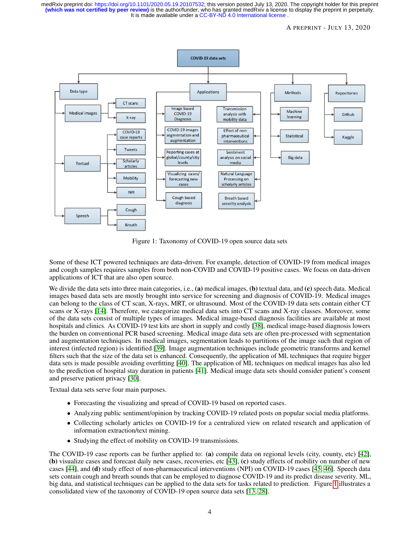It is made available under a CC-BY-ND 4.0 International license. **(which was not certified by peer review)** is the author/funder, who has granted medRxiv a license to display the preprint in perpetuity. medRxiv preprint doi: [https://doi.org/10.1101/2020.05.19.20107532;](https://doi.org/10.1101/2020.05.19.20107532) this version posted July 13, 2020. The copyright holder for this preprint

#### A PREPRINT - JULY 13, 2020



<span id="page-3-0"></span>Figure 1: Taxonomy of COVID-19 open source data sets

Some of these ICT powered techniques are data-driven. For example, detection of COVID-19 from medical images and cough samples requires samples from both non-COVID and COVID-19 positive cases. We focus on data-driven applications of ICT that are also open source.

We divide the data sets into three main categories, i.e., (a) medical images, (b) textual data, and (c) speech data. Medical images based data sets are mostly brought into service for screening and diagnosis of COVID-19. Medical images can belong to the class of CT scan, X-rays, MRT, or ultrasound. Most of the COVID-19 data sets contain either CT scans or X-rays [\[14\]](#page-23-12). Therefore, we categorize medical data sets into CT scans and X-ray classes. Moreover, some of the data sets consist of multiple types of images. Medical image-based diagnosis facilities are available at most hospitals and clinics. As COVID-19 test kits are short in supply and costly [\[38\]](#page-24-14), medical image-based diagnosis lowers the burden on conventional PCR based screening. Medical image data sets are often pre-processed with segmentation and augmentation techniques. In medical images, segmentation leads to partitions of the image such that region of interest (infected region) is identified [\[39\]](#page-24-15). Image augmentation techniques include geometric transforms and kernel filters such that the size of the data set is enhanced. Consequently, the application of ML techniques that require bigger data sets is made possible avoiding overfitting [\[40\]](#page-24-16). The application of ML techniques on medical images has also led to the prediction of hospital stay duration in patients [\[41\]](#page-24-17). Medical image data sets should consider patient's consent and preserve patient privacy [\[30\]](#page-24-6).

Textual data sets serve four main purposes.

- Forecasting the visualizing and spread of COVID-19 based on reported cases.
- Analyzing public sentiment/opinion by tracking COVID-19 related posts on popular social media platforms.
- Collecting scholarly articles on COVID-19 for a centralized view on related research and application of information extraction/text mining.
- Studying the effect of mobility on COVID-19 transmissions.

The COVID-19 case reports can be further applied to: (a) compile data on regional levels (city, county, etc) [\[42\]](#page-24-18), (b) visualize cases and forecast daily new cases, recoveries, etc [\[43\]](#page-24-19), (c) study effects of mobility on number of new cases [\[44\]](#page-25-0), and (d) study effect of non-pharmaceutical interventions (NPI) on COVID-19 cases [\[45,](#page-25-1) [46\]](#page-25-2). Speech data sets contain cough and breath sounds that can be employed to diagnose COVID-19 and its predict disease severity. ML, big data, and statistical techniques can be applied to the data sets for tasks related to prediction. Figure [1](#page-3-0) illustrates a consolidated view of the taxonomy of COVID-19 open source data sets [\[13,](#page-23-11) [28\]](#page-24-4).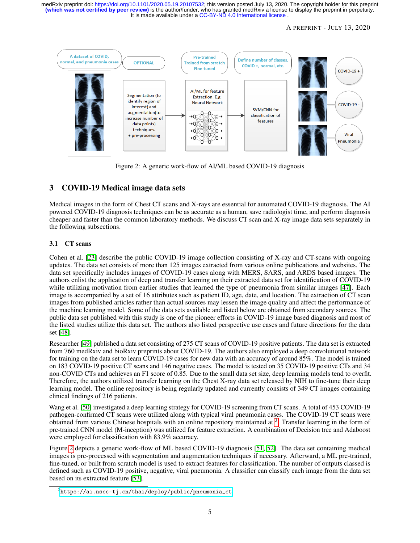It is made available under a CC-BY-ND 4.0 International license. **(which was not certified by peer review)** is the author/funder, who has granted medRxiv a license to display the preprint in perpetuity. medRxiv preprint doi: [https://doi.org/10.1101/2020.05.19.20107532;](https://doi.org/10.1101/2020.05.19.20107532) this version posted July 13, 2020. The copyright holder for this preprint

#### A PREPRINT - JULY 13, 2020



<span id="page-4-2"></span>Figure 2: A generic work-flow of AI/ML based COVID-19 diagnosis

# <span id="page-4-0"></span>3 COVID-19 Medical image data sets

Medical images in the form of Chest CT scans and X-rays are essential for automated COVID-19 diagnosis. The AI powered COVID-19 diagnosis techniques can be as accurate as a human, save radiologist time, and perform diagnosis cheaper and faster than the common laboratory methods. We discuss CT scan and X-ray image data sets separately in the following subsections.

## 3.1 CT scans

Cohen et al. [\[23\]](#page-23-21) describe the public COVID-19 image collection consisting of X-ray and CT-scans with ongoing updates. The data set consists of more than 125 images extracted from various online publications and websites. The data set specifically includes images of COVID-19 cases along with MERS, SARS, and ARDS based images. The authors enlist the application of deep and transfer learning on their extracted data set for identification of COVID-19 while utilizing motivation from earlier studies that learned the type of pneumonia from similar images [\[47\]](#page-25-3). Each image is accompanied by a set of 16 attributes such as patient ID, age, date, and location. The extraction of CT scan images from published articles rather than actual sources may lessen the image quality and affect the performance of the machine learning model. Some of the data sets available and listed below are obtained from secondary sources. The public data set published with this study is one of the pioneer efforts in COVID-19 image based diagnosis and most of the listed studies utilize this data set. The authors also listed perspective use cases and future directions for the data set [\[48\]](#page-25-4).

Researcher [\[49\]](#page-25-5) published a data set consisting of 275 CT scans of COVID-19 positive patients. The data set is extracted from 760 medRxiv and bioRxiv preprints about COVID-19. The authors also employed a deep convolutional network for training on the data set to learn COVID-19 cases for new data with an accuracy of around 85%. The model is trained on 183 COVID-19 positive CT scans and 146 negative cases. The model is tested on 35 COVID-19 positive CTs and 34 non-COVID CTs and achieves an F1 score of 0.85. Due to the small data set size, deep learning models tend to overfit. Therefore, the authors utilized transfer learning on the Chest X-ray data set released by NIH to fine-tune their deep learning model. The online repository is being regularly updated and currently consists of 349 CT images containing clinical findings of 216 patients.

Wang et al. [\[50\]](#page-25-6) investigated a deep learning strategy for COVID-19 screening from CT scans. A total of 453 COVID-19 pathogen-confirmed CT scans were utilized along with typical viral pneumonia cases. The COVID-19 CT scans were obtained from various Chinese hospitals with an online repository maintained at <sup>[3](#page-4-1)</sup>. Transfer learning in the form of pre-trained CNN model (M-inception) was utilized for feature extraction. A combination of Decision tree and Adaboost were employed for classification with 83.9% accuracy.

Figure [2](#page-4-2) depicts a generic work-flow of ML based COVID-19 diagnosis [\[51,](#page-25-7) [52\]](#page-25-8). The data set containing medical images is pre-processed with segmentation and augmentation techniques if necessary. Afterward, a ML pre-trained, fine-tuned, or built from scratch model is used to extract features for classification. The number of outputs classed is defined such as COVID-19 positive, negative, viral pneumonia. A classifier can classify each image from the data set based on its extracted feature [\[53\]](#page-25-9).

<span id="page-4-1"></span> $^3$ [https://ai.nscc-tj.cn/thai/deploy/public/pneumonia\\_ct](https://ai.nscc-tj.cn/thai/deploy/public/pneumonia_ct)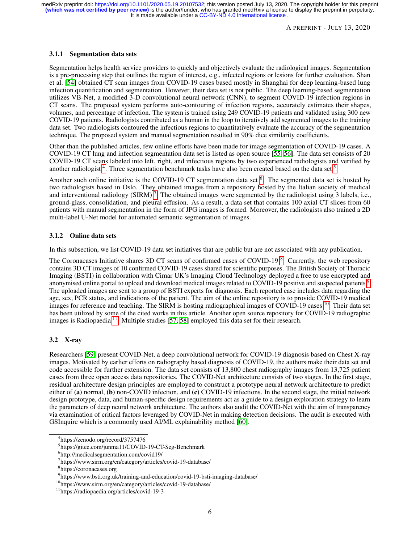A PREPRINT - JULY 13, 2020

#### 3.1.1 Segmentation data sets

Segmentation helps health service providers to quickly and objectively evaluate the radiological images. Segmentation is a pre-processing step that outlines the region of interest, e.g., infected regions or lesions for further evaluation. Shan et al. [\[54\]](#page-25-10) obtained CT scan images from COVID-19 cases based mostly in Shanghai for deep learning-based lung infection quantification and segmentation. However, their data set is not public. The deep learning-based segmentation utilizes VB-Net, a modified 3-D convolutional neural network (CNN), to segment COVID-19 infection regions in CT scans. The proposed system performs auto-contouring of infection regions, accurately estimates their shapes, volumes, and percentage of infection. The system is trained using 249 COVID-19 patients and validated using 300 new COVID-19 patients. Radiologists contributed as a human in the loop to iteratively add segmented images to the training data set. Two radiologists contoured the infectious regions to quantitatively evaluate the accuracy of the segmentation technique. The proposed system and manual segmentation resulted in 90% dice similarity coefficients.

Other than the published articles, few online efforts have been made for image segmentation of COVID-19 cases. A COVID-19 CT lung and infection segmentation data set is listed as open source [\[55,](#page-25-11) [56\]](#page-25-12). The data set consists of 20 COVID-19 CT scans labeled into left, right, and infectious regions by two experienced radiologists and verified by another radiologist<sup>[4](#page-5-0)</sup>. Three segmentation benchmark tasks have also been created based on the data set  $5$ .

Another such online initiative is the COVID-19 CT segmentation data set <sup>[6](#page-5-2)</sup>. The segmented data set is hosted by two radiologists based in Oslo. They obtained images from a repository hosted by the Italian society of medical and interventional radiology (SIRM)<sup>[7](#page-5-3)</sup>. The obtained images were segmented by the radiologist using  $\overline{3}$  labels, i.e., ground-glass, consolidation, and pleural effusion. As a result, a data set that contains 100 axial CT slices from 60 patients with manual segmentation in the form of JPG images is formed. Moreover, the radiologists also trained a 2D multi-label U-Net model for automated semantic segmentation of images.

### 3.1.2 Online data sets

In this subsection, we list COVID-19 data set initiatives that are public but are not associated with any publication.

The Coronacases Initiative shares 3D CT scans of confirmed cases of COVID-19<sup>[8](#page-5-4)</sup>. Currently, the web repository contains 3D CT images of 10 confirmed COVID-19 cases shared for scientific purposes. The British Society of Thoracic Imaging (BSTI) in collaboration with Cimar UK's Imaging Cloud Technology deployed a free to use encrypted and anonymised online portal to upload and download medical images related to COVID-1[9](#page-5-5) positive and suspected patients  $9$ . The uploaded images are sent to a group of BSTI experts for diagnosis. Each reported case includes data regarding the age, sex, PCR status, and indications of the patient. The aim of the online repository is to provide COVID-19 medical images for reference and teaching. The SIRM is hosting radiographical images of COVID-19 cases <sup>[10](#page-5-6)</sup>. Their data set has been utilized by some of the cited works in this article. Another open source repository for COVID-19 radiographic images is Radiopaedia  $^{11}$  $^{11}$  $^{11}$ . Multiple studies [\[57,](#page-25-13) [58\]](#page-25-14) employed this data set for their research.

## 3.2 X-ray

Researchers [\[59\]](#page-25-15) present COVID-Net, a deep convolutional network for COVID-19 diagnosis based on Chest X-ray images. Motivated by earlier efforts on radiography based diagnosis of COVID-19, the authors make their data set and code accessible for further extension. The data set consists of 13,800 chest radiography images from 13,725 patient cases from three open access data repositories. The COVID-Net architecture consists of two stages. In the first stage, residual architecture design principles are employed to construct a prototype neural network architecture to predict either of (a) normal, (b) non-COVID infection, and (c) COVID-19 infections. In the second stage, the initial network design prototype, data, and human-specific design requirements act as a guide to a design exploration strategy to learn the parameters of deep neural network architecture. The authors also audit the COVID-Net with the aim of transparency via examination of critical factors leveraged by COVID-Net in making detection decisions. The audit is executed with GSInquire which is a commonly used AI/ML explainability method [\[60\]](#page-25-16).

<span id="page-5-0"></span><sup>4</sup> https://zenodo.org/record/3757476

<span id="page-5-1"></span><sup>5</sup> https://gitee.com/junma11/COVID-19-CT-Seg-Benchmark

<span id="page-5-2"></span><sup>6</sup> http://medicalsegmentation.com/covid19/

<span id="page-5-3"></span><sup>7</sup> https://www.sirm.org/en/category/articles/covid-19-database/

<span id="page-5-4"></span><sup>8</sup> https://coronacases.org

<span id="page-5-5"></span><sup>&</sup>lt;sup>9</sup>https://www.bsti.org.uk/training-and-education/covid-19-bsti-imaging-database/

<span id="page-5-6"></span><sup>10</sup>https://www.sirm.org/en/category/articles/covid-19-database/

<span id="page-5-7"></span><sup>11</sup>https://radiopaedia.org/articles/covid-19-3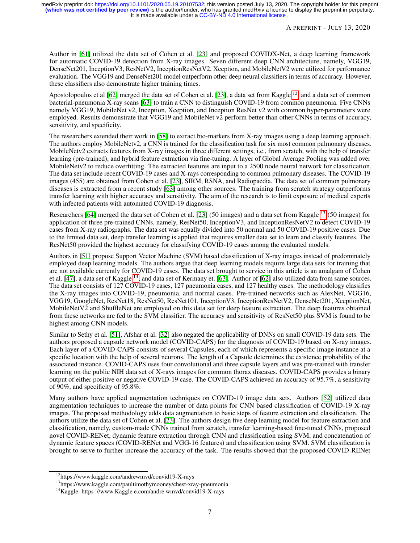Author in [\[61\]](#page-25-17) utilized the data set of Cohen et al. [\[23\]](#page-23-21) and proposed COVIDX-Net, a deep learning framework for automatic COVID-19 detection from X-ray images. Seven different deep CNN architecture, namely, VGG19, DenseNet201, InceptionV3, ResNetV2, InceptionResNetV2, Xception, and MobileNetV2 were utilized for performance evaluation. The VGG19 and DenseNet201 model outperform other deep neural classifiers in terms of accuracy. However, these classifiers also demonstrate higher training times.

Apostolopoulos et al  $[62]$  merged the data set of Cohen et al. [\[23\]](#page-23-21), a data set from Kaggle  $^{12}$  $^{12}$  $^{12}$ , and a data set of common bacterial-pneumonia X-ray scans [\[63\]](#page-25-19) to train a CNN to distinguish COVID-19 from common pneumonia. Five CNNs namely VGG19, MobileNet v2, Inception, Xception, and Inception ResNet v2 with common hyper-parameters were employed. Results demonstrate that VGG19 and MobileNet v2 perform better than other CNNs in terms of accuracy, sensitivity, and specificity.

The researchers extended their work in [\[58\]](#page-25-14) to extract bio-markers from X-ray images using a deep learning approach. The authors employ MobileNetv2, a CNN is trained for the classification task for six most common pulmonary diseases. MobileNetv2 extracts features from X-ray images in three different settings, i.e., from scratch, with the help of transfer learning (pre-trained), and hybrid feature extraction via fine-tuning. A layer of Global Average Pooling was added over MobileNetv2 to reduce overfitting. The extracted features are input to a 2500 node neural network for classification. The data set include recent COVID-19 cases and X-rays corresponding to common pulmonary diseases. The COVID-19 images (455) are obtained from Cohen et al. [\[23\]](#page-23-21), SIRM, RSNA, and Radiopaedia. The data set of common pulmonary diseases is extracted from a recent study [\[63\]](#page-25-19) among other sources. The training from scratch strategy outperforms transfer learning with higher accuracy and sensitivity. The aim of the research is to limit exposure of medical experts with infected patients with automated COVID-19 diagnosis.

Researchers [\[64\]](#page-26-0) merged the data set of Cohen et al. [\[23\]](#page-23-21) (50 images) and a data set from Kaggle [13](#page-6-1) (50 images) for application of three pre-trained CNNs, namely, ResNet50, InceptionV3, and InceptionResNetV2 to detect COVID-19 cases from X-ray radiographs. The data set was equally divided into 50 normal and 50 COVID-19 positive cases. Due to the limited data set, deep transfer learning is applied that requires smaller data set to learn and classify features. The ResNet50 provided the highest accuracy for classifying COVID-19 cases among the evaluated models.

Authors in [\[51\]](#page-25-7) propose Support Vector Machine (SVM) based classification of X-ray images instead of predominately employed deep learning models. The authors argue that deep learning models require large data sets for training that are not available currently for COVID-19 cases. The data set brought to service in this article is an amalgam of Cohen et al. [\[47\]](#page-25-3), a data set of Kaggle<sup>[14](#page-6-2)</sup>, and data set of Kermany et. [\[63\]](#page-25-19). Author of [\[62\]](#page-25-18) also utilized data from same sources. The data set consists of 127 COVID-19 cases, 127 pneumonia cases, and 127 healthy cases. The methodology classifies the X-ray images into COVID-19, pneumonia, and normal cases. Pre-trained networks such as AlexNet, VGG16, VGG19, GoogleNet, ResNet18, ResNet50, ResNet101, InceptionV3, InceptionResNetV2, DenseNet201, XceptionNet, MobileNetV2 and ShuffleNet are employed on this data set for deep feature extraction. The deep features obtained from these networks are fed to the SVM classifier. The accuracy and sensitivity of ResNet50 plus SVM is found to be highest among CNN models.

Similar to Sethy et al. [\[51\]](#page-25-7), Afshar et al. [\[32\]](#page-24-8) also negated the applicability of DNNs on small COVID-19 data sets. The authors proposed a capsule network model (COVID-CAPS) for the diagnosis of COVID-19 based on X-ray images. Each layer of a COVID-CAPS consists of several Capsules, each of which represents a specific image instance at a specific location with the help of several neurons. The length of a Capsule determines the existence probability of the associated instance. COVID-CAPS uses four convolutional and three capsule layers and was pre-trained with transfer learning on the public NIH data set of X-rays images for common thorax diseases. COVID-CAPS provides a binary output of either positive or negative COVID-19 case. The COVID-CAPS achieved an accuracy of 95.7%, a sensitivity of 90%, and specificity of 95.8%.

Many authors have applied augmentation techniques on COVID-19 image data sets. Authors [\[52\]](#page-25-8) utilized data augmentation techniques to increase the number of data points for CNN based classification of COVID-19 X-ray images. The proposed methodology adds data augmentation to basic steps of feature extraction and classification. The authors utilize the data set of Cohen et al. [\[23\]](#page-23-21). The authors design five deep learning model for feature extraction and classification, namely, custom-made CNNs trained from scratch, transfer learning-based fine-tuned CNNs, proposed novel COVID-RENet, dynamic feature extraction through CNN and classification using SVM, and concatenation of dynamic feature spaces (COVID-RENet and VGG-16 features) and classification using SVM. SVM classification is brought to serve to further increase the accuracy of the task. The results showed that the proposed COVID-RENet

<span id="page-6-0"></span><sup>12</sup>https://www.kaggle.com/andrewmvd/convid19-X-rays

<span id="page-6-1"></span><sup>13</sup>https://www.kaggle.com/paultimothymooney/chest-xray-pneumonia

<span id="page-6-2"></span><sup>14</sup>Kaggle. https ://www.Kaggle e.com/andre wmvd/convid19-X-rays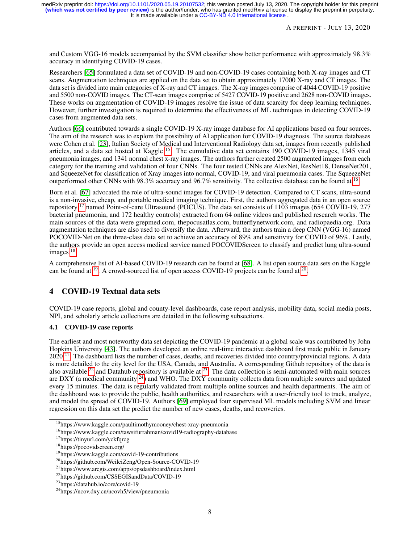and Custom VGG-16 models accompanied by the SVM classifier show better performance with approximately 98.3% accuracy in identifying COVID-19 cases.

Researchers [\[65\]](#page-26-1) formulated a data set of COVID-19 and non-COVID-19 cases containing both X-ray images and CT scans. Augmentation techniques are applied on the data set to obtain approximately 17000 X-ray and CT images. The data set is divided into main categories of X-ray and CT images. The X-ray images comprise of 4044 COVID-19 positive and 5500 non-COVID images. The CT-scan images comprise of 5427 COVID-19 positive and 2628 non-COVID images. These works on augmentation of COVID-19 images resolve the issue of data scarcity for deep learning techniques. However, further investigation is required to determine the effectiveness of ML techniques in detecting COVID-19 cases from augmented data sets.

Authors [\[66\]](#page-26-2) contributed towards a single COVID-19 X-ray image database for AI applications based on four sources. The aim of the research was to explore the possibility of AI application for COVID-19 diagnosis. The source databases were Cohen et al. [\[23\]](#page-23-21), Italian Society of Medical and Interventional Radiology data set, images from recently published articles, and a data set hosted at Kaggle [15](#page-7-1). The cumulative data set contains 190 COVID-19 images, 1345 viral pneumonia images, and 1341 normal chest x-ray images. The authors further created 2500 augmented images from each category for the training and validation of four CNNs. The four tested CNNs are AlexNet, ResNet18, DenseNet201, and SqueezeNet for classification of Xray images into normal, COVID-19, and viral pneumonia cases. The SqueezeNet outperformed other CNNs with 98.3% accuracy and 96.7% sensitivity. The collective database can be found at <sup>[16](#page-7-2)</sup>.

Born et al. [\[67\]](#page-26-3) advocated the role of ultra-sound images for COVID-19 detection. Compared to CT scans, ultra-sound is a non-invasive, cheap, and portable medical imaging technique. First, the authors aggregated data in an open source repository [17](#page-7-3) named Point-of-care Ultrasound (POCUS). The data set consists of 1103 images (654 COVID-19, 277 bacterial pneumonia, and 172 healthy controls) extracted from 64 online videos and published research works. The main sources of the data were grepmed.com, thepocusatlas.com, butterflynetwork.com, and radiopaedia.org. Data augmentation techniques are also used to diversify the data. Afterward, the authors train a deep CNN (VGG-16) named POCOVID-Net on the three-class data set to achieve an accuracy of 89% and sensitivity for COVID of 96%. Lastly, the authors provide an open access medical service named POCOVIDScreen to classify and predict lung ultra-sound images<sup>[18](#page-7-4)</sup>.

A comprehensive list of AI-based COVID-19 research can be found at [\[68\]](#page-26-4). A list open source data sets on the Kaggle can be found at  $^{19}$  $^{19}$  $^{19}$ . A crowd-sourced list of open access COVID-19 projects can be found at  $^{20}$  $^{20}$  $^{20}$ .

# <span id="page-7-0"></span>4 COVID-19 Textual data sets

COVID-19 case reports, global and county-level dashboards, case report analysis, mobility data, social media posts, NPI, and scholarly article collections are detailed in the following subsections.

## 4.1 COVID-19 case reports

The earliest and most noteworthy data set depicting the COVID-19 pandemic at a global scale was contributed by John Hopkins University [\[43\]](#page-24-19). The authors developed an online real-time interactive dashboard first made public in January 2020<sup>[21](#page-7-7)</sup>. The dashboard lists the number of cases, deaths, and recoveries divided into country/provincial regions. A data is more detailed to the city level for the USA, Canada, and Australia. A corresponding Github repository of the data is also available  $^{22}$  $^{22}$  $^{22}$  and Datahub repository is available at  $^{23}$  $^{23}$  $^{23}$ . The data collection is semi-automated with main sources are DXY (a medical community  $^{24}$  $^{24}$  $^{24}$ ) and WHO. The DXY community collects data from multiple sources and updated every 15 minutes. The data is regularly validated from multiple online sources and health departments. The aim of the dashboard was to provide the public, health authorities, and researchers with a user-friendly tool to track, analyze, and model the spread of COVID-19. Authors [\[69\]](#page-26-5) employed four supervised ML models including SVM and linear regression on this data set the predict the number of new cases, deaths, and recoveries.

<span id="page-7-1"></span><sup>&</sup>lt;sup>15</sup>https://www.kaggle.com/paultimothymooney/chest-xray-pneumonia

<span id="page-7-2"></span><sup>16</sup>https://www.kaggle.com/tawsifurrahman/covid19-radiography-database

<span id="page-7-3"></span><sup>17</sup>https://tinyurl.com/yckfqrcg

<span id="page-7-4"></span><sup>18</sup>https://pocovidscreen.org/

<span id="page-7-5"></span><sup>19</sup>https://www.kaggle.com/covid-19-contributions

<span id="page-7-6"></span><sup>20</sup>https://github.com/WeileiZeng/Open-Source-COVID-19

<span id="page-7-7"></span><sup>21</sup>https://www.arcgis.com/apps/opsdashboard/index.html

<span id="page-7-8"></span><sup>22</sup>https://github.com/CSSEGISandData/COVID-19

<span id="page-7-9"></span><sup>23</sup>https://datahub.io/core/covid-19

<span id="page-7-10"></span><sup>24</sup>https://ncov.dxy.cn/ncovh5/view/pneumonia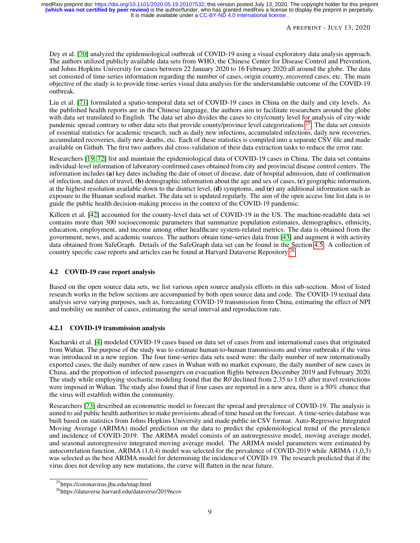Dey et al. [\[70\]](#page-26-6) analyzed the epidemiological outbreak of COVID-19 using a visual exploratory data analysis approach. The authors utilized publicly available data sets from WHO, the Chinese Center for Disease Control and Prevention, and Johns Hopkins University for cases between 22 January 2020 to 16 February 2020 all around the globe. The data set consisted of time-series information regarding the number of cases, origin country, recovered cases, etc. The main objective of the study is to provide time-series visual data analysis for the understandable outcome of the COVID-19 outbreak.

Liu et al. [\[71\]](#page-26-7) formulated a spatio-temporal data set of COVID-19 cases in China on the daily and city levels. As the published health reports are in the Chinese language, the authors aim to facilitate researchers around the globe with data set translated to English. The data set also divides the cases to city/county level for analysis of city-wide pandemic spread contrary to other data sets that provide county/province level categorizations  $^{25}$  $^{25}$  $^{25}$ . The data set consists of essential statistics for academic research, such as daily new infections, accumulated infections, daily new recoveries, accumulated recoveries, daily new deaths, etc. Each of these statistics is compiled into a separate CSV file and made available on Github. The first two authors did cross-validation of their data extraction tasks to reduce the error rate.

Researchers [\[19,](#page-23-17) [72\]](#page-26-8) list and maintain the epidemiological data of COVID-19 cases in China. The data set contains individual-level information of laboratory-confirmed cases obtained from city and provincial disease control centers. The information includes (a) key dates including the date of onset of disease, date of hospital admission, date of confirmation of infection, and dates of travel, (b) demographic information about the age and sex of cases, (c) geographic information, at the highest resolution available down to the district level, (d) symptoms, and (e) any additional information such as exposure to the Huanan seafood market. The data set is updated regularly. The aim of the open access line list data is to guide the public health decision-making process in the context of the COVID-19 pandemic.

Killeen et al. [\[42\]](#page-24-18) accounted for the county-level data set of COVID-19 in the US. The machine-readable data set contains more than 300 socioeconomic parameters that summarize population estimates, demographics, ethnicity, education, employment, and income among other healthcare system-related metrics. The data is obtained from the government, news, and academic sources. The authors obtain time-series data from [\[43\]](#page-24-19) and augment it with activity data obtained from SafeGraph. Details of the SafeGraph data set can be found in the Section [4.5.](#page-13-0) A collection of country specific case reports and articles can be found at Harvard Dataverse Repository<sup>[26](#page-8-1)</sup>.

## 4.2 COVID-19 case report analysis

Based on the open source data sets, we list various open source analysis efforts in this sub-section. Most of listed research works in the below sections are accompanied by both open source data and code. The COVID-19 textual data analysis serve varying purposes, such as, forecasting COVID-19 transmission from China, estimating the effect of NPI and mobility on number of cases, estimating the serial interval and reproduction rate.

## 4.2.1 COVID-19 transmission analysis

Kucharski et al. [\[4\]](#page-23-2) modeled COVID-19 cases based on data set of cases from and international cases that originated from Wuhan. The purpose of the study was to estimate human-to-human transmissions and virus outbreaks if the virus was introduced in a new region. The four time-series data sets used were: the daily number of new internationally exported cases, the daily number of new cases in Wuhan with no market exposure, the daily number of new cases in China, and the proportion of infected passengers on evacuation flights between December 2019 and February 2020. The study while employing stochastic modeling found that the R*0* declined from 2.35 to 1.05 after travel restrictions were imposed in Wuhan. The study also found that if four cases are reported in a new area, there is a 50% chance that the virus will establish within the community.

Researchers [\[73\]](#page-26-9) described an econometric model to forecast the spread and prevalence of COVID-19. The analysis is aimed to aid public health authorities to make provisions ahead of time based on the forecast. A time-series database was built based on statistics from Johns Hopkins University and made public in CSV format. Auto-Regressive Integrated Moving Average (ARIMA) model prediction on the data to predict the epidemiological trend of the prevalence and incidence of COVID-2019. The ARIMA model consists of an autoregressive model, moving average model, and seasonal autoregressive integrated moving average model. The ARIMA model parameters were estimated by autocorrelation function. ARIMA (1,0,4) model was selected for the prevalence of COVID-2019 while ARIMA (1,0,3) was selected as the best ARIMA model for determining the incidence of COVID-19. The research predicted that if the virus does not develop any new mutations, the curve will flatten in the near future.

<span id="page-8-0"></span><sup>25</sup>https://coronavirus.jhu.edu/map.html

<span id="page-8-1"></span><sup>26</sup>https://dataverse.harvard.edu/dataverse/2019ncov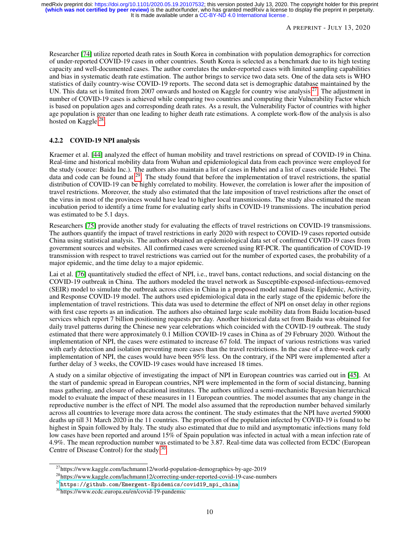Researcher [\[74\]](#page-26-10) utilize reported death rates in South Korea in combination with population demographics for correction of under-reported COVID-19 cases in other countries. South Korea is selected as a benchmark due to its high testing capacity and well-documented cases. The author correlates the under-reported cases with limited sampling capabilities and bias in systematic death rate estimation. The author brings to service two data sets. One of the data sets is WHO statistics of daily country-wise COVID-19 reports. The second data set is demographic database maintained by the UN. This data set is limited from 2007 onwards and hosted on Kaggle for country wise analysis  $27$ . The adjustment in number of COVID-19 cases is achieved while comparing two countries and computing their Vulnerability Factor which is based on population ages and corresponding death rates. As a result, the Vulnerability Factor of countries with higher age population is greater than one leading to higher death rate estimations. A complete work-flow of the analysis is also hosted on Kaggle<sup>[28](#page-9-1)</sup>.

### 4.2.2 COVID-19 NPI analysis

Kraemer et al. [\[44\]](#page-25-0) analyzed the effect of human mobility and travel restrictions on spread of COVID-19 in China. Real-time and historical mobility data from Wuhan and epidemiological data from each province were employed for the study (source: Baidu Inc.). The authors also maintain a list of cases in Hubei and a list of cases outside Hubei. The data and code can be found at [29](#page-9-2). The study found that before the implementation of travel restrictions, the spatial distribution of COVID-19 can be highly correlated to mobility. However, the correlation is lower after the imposition of travel restrictions. Moreover, the study also estimated that the late imposition of travel restrictions after the onset of the virus in most of the provinces would have lead to higher local transmissions. The study also estimated the mean incubation period to identify a time frame for evaluating early shifts in COVID-19 transmissions. The incubation period was estimated to be 5.1 days.

Researchers [\[75\]](#page-26-11) provide another study for evaluating the effects of travel restrictions on COVID-19 transmissions. The authors quantify the impact of travel restrictions in early 2020 with respect to COVID-19 cases reported outside China using statistical analysis. The authors obtained an epidemiological data set of confirmed COVID-19 cases from government sources and websites. All confirmed cases were screened using RT-PCR. The quantification of COVID-19 transmission with respect to travel restrictions was carried out for the number of exported cases, the probability of a major epidemic, and the time delay to a major epidemic.

Lai et al. [\[76\]](#page-26-12) quantitatively studied the effect of NPI, i.e., travel bans, contact reductions, and social distancing on the COVID-19 outbreak in China. The authors modeled the travel network as Susceptible-exposed-infectious-removed (SEIR) model to simulate the outbreak across cities in China in a proposed model named Basic Epidemic, Activity, and Response COVID-19 model. The authors used epidemiological data in the early stage of the epidemic before the implementation of travel restrictions. This data was used to determine the effect of NPI on onset delay in other regions with first case reports as an indication. The authors also obtained large scale mobility data from Baidu location-based services which report 7 billion positioning requests per day. Another historical data set from Baidu was obtained for daily travel patterns during the Chinese new year celebrations which coincided with the COVID-19 outbreak. The study estimated that there were approximately 0.1 Million COVID-19 cases in China as of 29 February 2020. Without the implementation of NPI, the cases were estimated to increase 67 fold. The impact of various restrictions was varied with early detection and isolation preventing more cases than the travel restrictions. In the case of a three-week early implementation of NPI, the cases would have been 95% less. On the contrary, if the NPI were implemented after a further delay of 3 weeks, the COVID-19 cases would have increased 18 times.

A study on a similar objective of investigating the impact of NPI in European countries was carried out in [\[45\]](#page-25-1). At the start of pandemic spread in European countries, NPI were implemented in the form of social distancing, banning mass gathering, and closure of educational institutes. The authors utilized a semi-mechanistic Bayesian hierarchical model to evaluate the impact of these measures in 11 European countries. The model assumes that any change in the reproductive number is the effect of NPI. The model also assumed that the reproduction number behaved similarly across all countries to leverage more data across the continent. The study estimates that the NPI have averted 59000 deaths up till 31 March 2020 in the 11 countries. The proportion of the population infected by COVID-19 is found to be highest in Spain followed by Italy. The study also estimated that due to mild and asymptomatic infections many fold low cases have been reported and around 15% of Spain population was infected in actual with a mean infection rate of 4.9%. The mean reproduction number was estimated to be 3.87. Real-time data was collected from ECDC (European Centre of Disease Control) for the study [30](#page-9-3).

<span id="page-9-0"></span><sup>27</sup>https://www.kaggle.com/lachmann12/world-population-demographics-by-age-2019

<span id="page-9-1"></span><sup>28</sup>https://www.kaggle.com/lachmann12/correcting-under-reported-covid-19-case-numbers

<span id="page-9-2"></span><sup>29</sup>[https://github.com/Emergent-Epidemics/covid19\\_npi\\_china](https://github.com/Emergent-Epidemics/covid19_npi_china)

<span id="page-9-3"></span><sup>30</sup>https://www.ecdc.europa.eu/en/covid-19-pandemic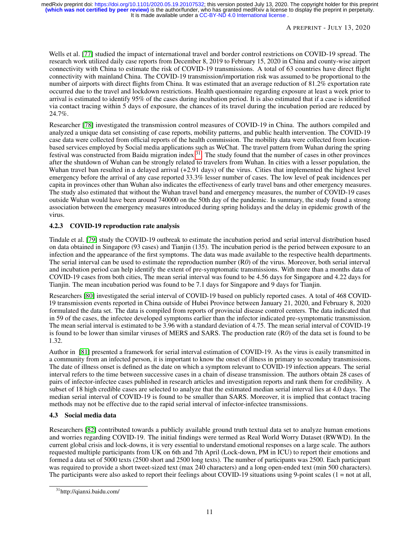Wells et al. [\[77\]](#page-26-13) studied the impact of international travel and border control restrictions on COVID-19 spread. The research work utilized daily case reports from December 8, 2019 to February 15, 2020 in China and county-wise airport connectivity with China to estimate the risk of COVID-19 transmissions. A total of 63 countries have direct flight connectivity with mainland China. The COVID-19 transmission/importation risk was assumed to be proportional to the number of airports with direct flights from China. It was estimated that an average reduction of 81.2% exportation rate occurred due to the travel and lockdown restrictions. Health questionnaire regarding exposure at least a week prior to arrival is estimated to identify 95% of the cases during incubation period. It is also estimated that if a case is identified via contact tracing within 5 days of exposure, the chances of its travel during the incubation period are reduced by 24.7%.

Researcher [\[78\]](#page-26-14) investigated the transmission control measures of COVID-19 in China. The authors compiled and analyzed a unique data set consisting of case reports, mobility patterns, and public health intervention. The COVID-19 case data were collected from official reports of the health commission. The mobility data were collected from locationbased services employed by Social media applications such as WeChat. The travel pattern from Wuhan during the spring festival was constructed from Baidu migration index [31](#page-10-0). The study found that the number of cases in other provinces after the shutdown of Wuhan can be strongly related to travelers from Wuhan. In cities with a lesser population, the Wuhan travel ban resulted in a delayed arrival (+2.91 days) of the virus. Cities that implemented the highest level emergency before the arrival of any case reported 33.3% lesser number of cases. The low level of peak incidences per capita in provinces other than Wuhan also indicates the effectiveness of early travel bans and other emergency measures. The study also estimated that without the Wuhan travel band and emergency measures, the number of COVID-19 cases outside Wuhan would have been around 740000 on the 50th day of the pandemic. In summary, the study found a strong association between the emergency measures introduced during spring holidays and the delay in epidemic growth of the virus.

# 4.2.3 COVID-19 reproduction rate analysis

Tindale et al. [\[79\]](#page-26-15) study the COVID-19 outbreak to estimate the incubation period and serial interval distribution based on data obtained in Singapore (93 cases) and Tianjin (135). The incubation period is the period between exposure to an infection and the appearance of the first symptoms. The data was made available to the respective health departments. The serial interval can be used to estimate the reproduction number (R*0*) of the virus. Moreover, both serial interval and incubation period can help identify the extent of pre-symptomatic transmissions. With more than a months data of COVID-19 cases from both cities, The mean serial interval was found to be 4.56 days for Singapore and 4.22 days for Tianjin. The mean incubation period was found to be 7.1 days for Singapore and 9 days for Tianjin.

Researchers [\[80\]](#page-26-16) investigated the serial interval of COVID-19 based on publicly reported cases. A total of 468 COVID-19 transmission events reported in China outside of Hubei Province between January 21, 2020, and February 8, 2020 formulated the data set. The data is compiled from reports of provincial disease control centers. The data indicated that in 59 of the cases, the infectee developed symptoms earlier than the infector indicated pre-symptomatic transmission. The mean serial interval is estimated to be 3.96 with a standard deviation of 4.75. The mean serial interval of COVID-19 is found to be lower than similar viruses of MERS and SARS. The production rate (R*0*) of the data set is found to be 1.32.

Author in [\[81\]](#page-26-17) presented a framework for serial interval estimation of COVID-19. As the virus is easily transmitted in a community from an infected person, it is important to know the onset of illness in primary to secondary transmissions. The date of illness onset is defined as the date on which a symptom relevant to COVID-19 infection appears. The serial interval refers to the time between successive cases in a chain of disease transmission. The authors obtain 28 cases of pairs of infector-infectee cases published in research articles and investigation reports and rank them for credibility. A subset of 18 high credible cases are selected to analyze that the estimated median serial interval lies at 4.0 days. The median serial interval of COVID-19 is found to be smaller than SARS. Moreover, it is implied that contact tracing methods may not be effective due to the rapid serial interval of infector-infectee transmissions.

# 4.3 Social media data

Researchers [\[82\]](#page-26-18) contributed towards a publicly available ground truth textual data set to analyze human emotions and worries regarding COVID-19. The initial findings were termed as Real World Worry Dataset (RWWD). In the current global crisis and lock-downs, it is very essential to understand emotional responses on a large scale. The authors requested multiple participants from UK on 6th and 7th April (Lock-down, PM in ICU) to report their emotions and formed a data set of 5000 texts (2500 short and 2500 long texts). The number of participants was 2500. Each participant was required to provide a short tweet-sized text (max 240 characters) and a long open-ended text (min 500 characters). The participants were also asked to report their feelings about COVID-19 situations using 9-point scales  $(1 = not at all,$ 

<span id="page-10-0"></span><sup>31</sup>http://qianxi.baidu.com/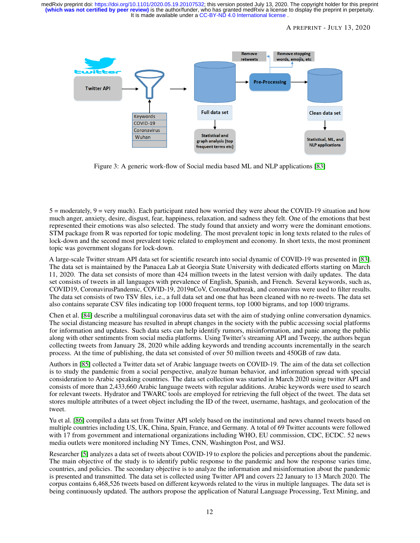#### A PREPRINT - JULY 13, 2020



<span id="page-11-0"></span>Figure 3: A generic work-flow of Social media based ML and NLP applications [\[83\]](#page-26-19)

 $5 =$  moderately,  $9 =$  very much). Each participant rated how worried they were about the COVID-19 situation and how much anger, anxiety, desire, disgust, fear, happiness, relaxation, and sadness they felt. One of the emotions that best represented their emotions was also selected. The study found that anxiety and worry were the dominant emotions. STM package from R was reported for topic modeling. The most prevalent topic in long texts related to the rules of lock-down and the second most prevalent topic related to employment and economy. In short texts, the most prominent topic was government slogans for lock-down.

A large-scale Twitter stream API data set for scientific research into social dynamic of COVID-19 was presented in [\[83\]](#page-26-19). The data set is maintained by the Panacea Lab at Georgia State University with dedicated efforts starting on March 11, 2020. The data set consists of more than 424 million tweets in the latest version with daily updates. The data set consists of tweets in all languages with prevalence of English, Spanish, and French. Several keywords, such as, COVID19, CoronavirusPandemic, COVID-19, 2019nCoV, CoronaOutbreak, and coronavirus were used to filter results. The data set consists of two TSV files, i.e., a full data set and one that has been cleaned with no re-tweets. The data set also contains separate CSV files indicating top 1000 frequent terms, top 1000 bigrams, and top 1000 trigrams.

Chen et al. [\[84\]](#page-26-20) describe a multilingual coronavirus data set with the aim of studying online conversation dynamics. The social distancing measure has resulted in abrupt changes in the society with the public accessing social platforms for information and updates. Such data sets can help identify rumors, misinformation, and panic among the public along with other sentiments from social media platforms. Using Twitter's streaming API and Tweepy, the authors began collecting tweets from January 28, 2020 while adding keywords and trending accounts incrementally in the search process. At the time of publishing, the data set consisted of over 50 million tweets and 450GB of raw data.

Authors in [\[85\]](#page-27-0) collected a Twitter data set of Arabic language tweets on COVID-19. The aim of the data set collection is to study the pandemic from a social perspective, analyze human behavior, and information spread with special consideration to Arabic speaking countries. The data set collection was started in March 2020 using twitter API and consists of more than 2,433,660 Arabic language tweets with regular additions. Arabic keywords were used to search for relevant tweets. Hydrator and TWARC tools are employed for retrieving the full object of the tweet. The data set stores multiple attributes of a tweet object including the ID of the tweet, username, hashtags, and geolocation of the tweet.

Yu et al. [\[86\]](#page-27-1) compiled a data set from Twitter API solely based on the institutional and news channel tweets based on multiple countries including US, UK, China, Spain, France, and Germany. A total of 69 Twitter accounts were followed with 17 from government and international organizations including WHO, EU commission, CDC, ECDC. 52 news media outlets were monitored including NY Times, CNN, Washington Post, and WSJ.

Researcher [\[5\]](#page-23-3) analyzes a data set of tweets about COVID-19 to explore the policies and perceptions about the pandemic. The main objective of the study is to identify public response to the pandemic and how the response varies time, countries, and policies. The secondary objective is to analyze the information and misinformation about the pandemic is presented and transmitted. The data set is collected using Twitter API and covers 22 January to 13 March 2020. The corpus contains 6,468,526 tweets based on different keywords related to the virus in multiple languages. The data set is being continuously updated. The authors propose the application of Natural Language Processing, Text Mining, and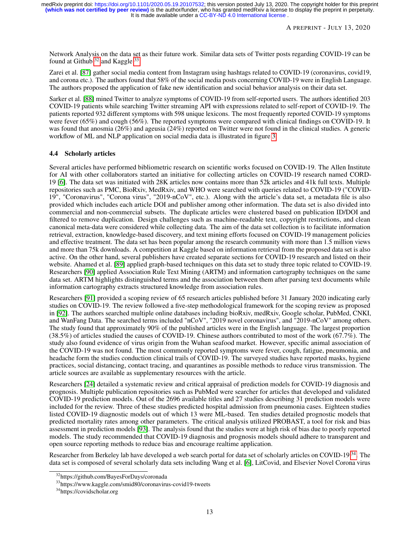Network Analysis on the data set as their future work. Similar data sets of Twitter posts regarding COVID-19 can be found at Github  $32$  and Kaggle  $33$ .

Zarei et al. [\[87\]](#page-27-2) gather social media content from Instagram using hashtags related to COVID-19 (coronavirus, covid19, and corona etc.). The authors found that 58% of the social media posts concerning COVID-19 were in English Language. The authors proposed the application of fake new identification and social behavior analysis on their data set.

Sarker et al. [\[88\]](#page-27-3) mined Twitter to analyze symptoms of COVID-19 from self-reported users. The authors identified 203 COVID-19 patients while searching Twitter streaming API with expressions related to self-report of COVID-19. The patients reported 932 different symptoms with 598 unique lexicons. The most frequently reported COVID-19 symptoms were fever (65%) and cough (56%). The reported symptoms were compared with clinical findings on COVID-19. It was found that anosmia (26%) and ageusia (24%) reported on Twitter were not found in the clinical studies. A generic workflow of ML and NLP application on social media data is illustrated in figure [3.](#page-11-0)

#### 4.4 Scholarly articles

Several articles have performed bibliometric research on scientific works focused on COVID-19. The Allen Institute for AI with other collaborators started an initiative for collecting articles on COVID-19 research named CORD-19 [\[6\]](#page-23-4). The data set was initiated with 28K articles now contains more than 52k articles and 41k full texts. Multiple repositories such as PMC, BioRxiv, MedRxiv, and WHO were searched with queries related to COVID-19 ("COVID-19", "Coronavirus", "Corona virus", "2019-nCoV", etc.). Along with the article's data set, a metadata file is also provided which includes each article DOI and publisher among other information. The data set is also divided into commercial and non-commercial subsets. The duplicate articles were clustered based on publication ID/DOI and filtered to remove duplication. Design challenges such as machine-readable text, copyright restrictions, and clean canonical meta-data were considered while collecting data. The aim of the data set collection is to facilitate information retrieval, extraction, knowledge-based discovery, and text mining efforts focused on COVID-19 management policies and effective treatment. The data set has been popular among the research community with more than 1.5 million views and more than 75k downloads. A competition at Kaggle based on information retrieval from the proposed data set is also active. On the other hand, several publishers have created separate sections for COVID-19 research and listed on their website. Ahamed et al. [\[89\]](#page-27-4) applied graph-based techniques on this data set to study three topic related to COVID-19. Researchers [\[90\]](#page-27-5) applied Association Rule Text Mining (ARTM) and information cartography techniques on the same data set. ARTM highlights distinguished terms and the association between them after parsing text documents while information cartography extracts structured knowledge from association rules.

Researchers [\[91\]](#page-27-6) provided a scoping review of 65 research articles published before 31 January 2020 indicating early studies on COVID-19. The review followed a five-step methodological framework for the scoping review as proposed in [\[92\]](#page-27-7). The authors searched multiple online databases including bioRxiv, medRxiv, Google scholar, PubMed, CNKI, and WanFang Data. The searched terms included "nCoV", "2019 novel coronavirus", and "2019-nCoV" among others. The study found that approximately 90% of the published articles were in the English language. The largest proportion  $(38.5\%)$  of articles studied the causes of COVID-19. Chinese authors contributed to most of the work  $(67.7\%)$ . The study also found evidence of virus origin from the Wuhan seafood market. However, specific animal association of the COVID-19 was not found. The most commonly reported symptoms were fever, cough, fatigue, pneumonia, and headache form the studies conduction clinical trails of COVID-19. The surveyed studies have reported masks, hygiene practices, social distancing, contact tracing, and quarantines as possible methods to reduce virus transmission. The article sources are available as supplementary resources with the article.

Researchers [\[24\]](#page-24-0) detailed a systematic review and critical appraisal of prediction models for COVID-19 diagnosis and prognosis. Multiple publication repositories such as PubMed were searcher for articles that developed and validated COVID-19 prediction models. Out of the 2696 available titles and 27 studies describing 31 prediction models were included for the review. Three of these studies predicted hospital admission from pneumonia cases. Eighteen studies listed COVID-19 diagnostic models out of which 13 were ML-based. Ten studies detailed prognostic models that predicted mortality rates among other parameters. The critical analysis utilized PROBAST, a tool for risk and bias assessment in prediction models [\[93\]](#page-27-8). The analysis found that the studies were at high risk of bias due to poorly reported models. The study recommended that COVID-19 diagnosis and prognosis models should adhere to transparent and open source reporting methods to reduce bias and encourage realtime application.

Researcher from Berkeley lab have developed a web search portal for data set of scholarly articles on COVID-19<sup>[34](#page-12-2)</sup>. The data set is composed of several scholarly data sets including Wang et al. [\[6\]](#page-23-4), LitCovid, and Elsevier Novel Corona virus

<span id="page-12-0"></span><sup>32</sup>https://github.com/BayesForDays/coronada

<span id="page-12-1"></span><sup>33</sup>https://www.kaggle.com/smid80/coronavirus-covid19-tweets

<span id="page-12-2"></span><sup>34</sup>https://covidscholar.org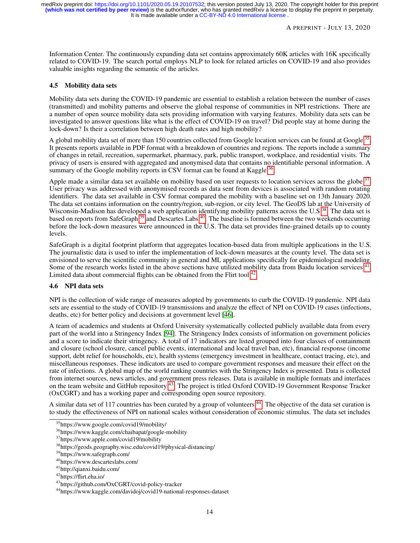Information Center. The continuously expanding data set contains approximately 60K articles with 16K specifically related to COVID-19. The search portal employs NLP to look for related articles on COVID-19 and also provides valuable insights regarding the semantic of the articles.

#### <span id="page-13-0"></span>4.5 Mobility data sets

Mobility data sets during the COVID-19 pandemic are essential to establish a relation between the number of cases (transmitted) and mobility patterns and observe the global response of communities in NPI restrictions. There are a number of open source mobility data sets providing information with varying features. Mobility data sets can be investigated to answer questions like what is the effect of COVID-19 on travel? Did people stay at home during the lock-down? Is their a correlation between high death rates and high mobility?

A global mobility data set of more than 150 countries collected from Google location services can be found at Google <sup>[35](#page-13-1)</sup>. It presents reports available in PDF format with a breakdown of countries and regions. The reports include a summary of changes in retail, recreation, supermarket, pharmacy, park, public transport, workplace, and residential visits. The privacy of users is ensured with aggregated and anonymised data that contains no identifiable personal information. A summary of the Google mobility reports in CSV format can be found at Kaggle  $36$ .

Apple made a similar data set available on mobility based on user requests to location services across the globe <sup>[37](#page-13-3)</sup>. User privacy was addressed with anonymised records as data sent from devices is associated with random rotating identifiers. The data set available in CSV format compared the mobility with a baseline set on 13th January 2020. The data set contains information on the country/region, sub-region, or city level. The GeoDS lab at the University of Wisconsin-Madison has developed a web application identifying mobility patterns across the U.S <sup>[38](#page-13-4)</sup>. The data set is based on reports from SafeGraph [39](#page-13-5) and Descartes Labs [40](#page-13-6). The baseline is formed between the two weekends occurring before the lock-down measures were announced in the U.S. The data set provides fine-grained details up to county levels.

SafeGraph is a digital footprint platform that aggregates location-based data from multiple applications in the U.S. The journalistic data is used to infer the implementation of lock-down measures at the county level. The data set is envisioned to serve the scientific community in general and ML applications specifically for epidemiological modeling. Some of the research works listed in the above sections have utilized mobility data from Baidu location services <sup>[41](#page-13-7)</sup>. Limited data about commercial flights can be obtained from the Flirt tool  $^{42}$  $^{42}$  $^{42}$ .

### 4.6 NPI data sets

NPI is the collection of wide range of measures adopted by governments to curb the COVID-19 pandemic. NPI data sets are essential to the study of COVID-19 transmissions and analyze the effect of NPI on COVID-19 cases (infections, deaths, etc) for better policy and decisions at government level [\[46\]](#page-25-2).

A team of academics and students at Oxford University systematically collected publicly available data from every part of the world into a Stringency Index [\[94\]](#page-27-9). The Stringency Index consists of information on government policies and a score to indicate their stringency. A total of 17 indicators are listed grouped into four classes of containment and closure (school closure, cancel public events, international and local travel ban, etc), financial response (income support, debt relief for households, etc), health systems (emergency investment in healthcare, contact tracing, etc), and miscellaneous responses. These indicators are used to compare government responses and measure their effect on the rate of infections. A global map of the world ranking countries with the Stringency Index is presented. Data is collected from internet sources, news articles, and government press releases. Data is available in multiple formats and interfaces on the team website and GitHub repository <sup>[43](#page-13-9)</sup>. The project is titled Oxford COVID-19 Government Response Tracker (OxCGRT) and has a working paper and corresponding open source repository.

A similar data set of 117 countries has been curated by a group of volunteers  $44$ . The objective of the data set curation is to study the effectiveness of NPI on national scales without consideration of economic stimulus. The data set includes

<span id="page-13-1"></span><sup>35</sup>https://www.google.com/covid19/mobility/

<span id="page-13-2"></span><sup>36</sup>https://www.kaggle.com/chaibapat/google-mobility

<span id="page-13-3"></span><sup>37</sup>https://www.apple.com/covid19/mobility

<span id="page-13-4"></span><sup>38</sup>https://geods.geography.wisc.edu/covid19/physical-distancing/

<span id="page-13-5"></span><sup>39</sup>https://www.safegraph.com/

<span id="page-13-6"></span><sup>40</sup>https://www.descarteslabs.com/

<span id="page-13-7"></span><sup>41</sup>http://qianxi.baidu.com/

<span id="page-13-8"></span><sup>42</sup>https://flirt.eha.io/

<span id="page-13-9"></span><sup>43</sup>https://github.com/OxCGRT/covid-policy-tracker

<span id="page-13-10"></span><sup>44</sup>https://www.kaggle.com/davidoj/covid19-national-responses-dataset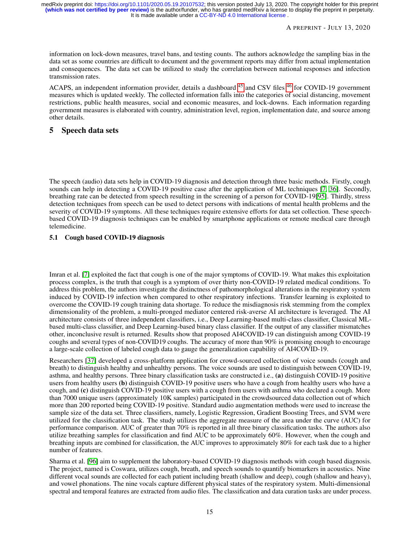information on lock-down measures, travel bans, and testing counts. The authors acknowledge the sampling bias in the data set as some countries are difficult to document and the government reports may differ from actual implementation and consequences. The data set can be utilized to study the correlation between national responses and infection transmission rates.

ACAPS, an independent information provider, details a dashboard <sup>[45](#page-15-0)</sup> and CSV files <sup>[46](#page-15-1)</sup> for COVID-19 government measures which is updated weekly. The collected information falls into the categories of social distancing, movement restrictions, public health measures, social and economic measures, and lock-downs. Each information regarding government measures is elaborated with country, administration level, region, implementation date, and source among other details.

## <span id="page-14-0"></span>5 Speech data sets

The speech (audio) data sets help in COVID-19 diagnosis and detection through three basic methods. Firstly, cough sounds can help in detecting a COVID-19 positive case after the application of ML techniques [\[7,](#page-23-5) [36\]](#page-24-12). Secondly, breathing rate can be detected from speech resulting in the screening of a person for COVID-19[\[95\]](#page-27-10). Thirdly, stress detection techniques from speech can be used to detect persons with indications of mental health problems and the severity of COVID-19 symptoms. All these techniques require extensive efforts for data set collection. These speechbased COVID-19 diagnosis techniques can be enabled by smartphone applications or remote medical care through telemedicine.

### 5.1 Cough based COVID-19 diagnosis

Imran et al. [\[7\]](#page-23-5) exploited the fact that cough is one of the major symptoms of COVID-19. What makes this exploitation process complex, is the truth that cough is a symptom of over thirty non-COVID-19 related medical conditions. To address this problem, the authors investigate the distinctness of pathomorphological alterations in the respiratory system induced by COVID-19 infection when compared to other respiratory infections. Transfer learning is exploited to overcome the COVID-19 cough training data shortage. To reduce the misdiagnosis risk stemming from the complex dimensionality of the problem, a multi-pronged mediator centered risk-averse AI architecture is leveraged. The AI architecture consists of three independent classifiers, i.e., Deep Learning-based multi-class classifier, Classical MLbased multi-class classifier, and Deep Learning-based binary class classifier. If the output of any classifier mismatches other, inconclusive result is returned. Results show that proposed AI4COVID-19 can distinguish among COVID-19 coughs and several types of non-COVID19 coughs. The accuracy of more than 90% is promising enough to encourage a large-scale collection of labeled cough data to gauge the generalization capability of AI4COVID-19.

Researchers [\[37\]](#page-24-13) developed a cross-platform application for crowd-sourced collection of voice sounds (cough and breath) to distinguish healthy and unhealthy persons. The voice sounds are used to distinguish between COVID-19, asthma, and healthy persons. Three binary classification tasks are constructed i.e., (a) distinguish COVID-19 positive users from healthy users (b) distinguish COVID-19 positive users who have a cough from healthy users who have a cough, and (c) distinguish COVID-19 positive users with a cough from users with asthma who declared a cough. More than 7000 unique users (approximately 10K samples) participated in the crowdsourced data collection out of which more than 200 reported being COVID-19 positive. Standard audio augmentation methods were used to increase the sample size of the data set. Three classifiers, namely, Logistic Regression, Gradient Boosting Trees, and SVM were utilized for the classification task. The study utilizes the aggregate measure of the area under the curve (AUC) for performance comparison. AUC of greater than 70% is reported in all three binary classification tasks. The authors also utilize breathing samples for classification and find AUC to be approximately 60%. However, when the cough and breathing inputs are combined for classification, the AUC improves to approximately 80% for each task due to a higher number of features.

Sharma et al. [\[96\]](#page-27-11) aim to supplement the laboratory-based COVID-19 diagnosis methods with cough based diagnosis. The project, named is Coswara, utilizes cough, breath, and speech sounds to quantify biomarkers in acoustics. Nine different vocal sounds are collected for each patient including breath (shallow and deep), cough (shallow and heavy), and vowel phonations. The nine vocals capture different physical states of the respiratory system. Multi-dimensional spectral and temporal features are extracted from audio files. The classification and data curation tasks are under process.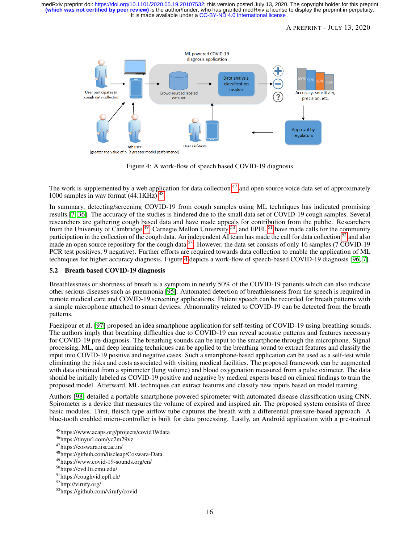It is made available under a CC-BY-ND 4.0 International license. **(which was not certified by peer review)** is the author/funder, who has granted medRxiv a license to display the preprint in perpetuity. medRxiv preprint doi: [https://doi.org/10.1101/2020.05.19.20107532;](https://doi.org/10.1101/2020.05.19.20107532) this version posted July 13, 2020. The copyright holder for this preprint



<span id="page-15-9"></span>Figure 4: A work-flow of speech based COVID-19 diagnosis

The work is supplemented by a web application for data collection  $47$  and open source voice data set of approximately 1000 samples in wav format (44.1KHz) <sup>[48](#page-15-3)</sup>.

In summary, detecting/screening COVID-19 from cough samples using ML techniques has indicated promising results [\[7,](#page-23-5) [36\]](#page-24-12). The accuracy of the studies is hindered due to the small data set of COVID-19 cough samples. Several researchers are gathering cough based data and have made appeals for contribution from the public. Researchers from the University of Cambridge<sup>[49](#page-15-4)</sup>, Carnegie Mellon University <sup>[50](#page-15-5)</sup>, and EPFL <sup>[51](#page-15-6)</sup> have made calls for the community participation in the collection of the cough data. An independent  $\overline{AI}$  team has made the call for data collection  $^{52}$  $^{52}$  $^{52}$  and also made an open source repository for the cough data  $53$ . However, the data set consists of only 16 samples (7 COVID-19) PCR test positives, 9 negative). Further efforts are required towards data collection to enable the application of ML techniques for higher accuracy diagnosis. Figure [4](#page-15-9) depicts a work-flow of speech-based COVID-19 diagnosis [\[96,](#page-27-11) [7\]](#page-23-5).

## 5.2 Breath based COVID-19 diagnosis

Breathlessness or shortness of breath is a symptom in nearly 50% of the COVID-19 patients which can also indicate other serious diseases such as pneumonia [\[95\]](#page-27-10). Automated detection of breathlessness from the speech is required in remote medical care and COVID-19 screening applications. Patient speech can be recorded for breath patterns with a simple microphone attached to smart devices. Abnormality related to COVID-19 can be detected from the breath patterns.

Faezipour et al. [\[97\]](#page-27-12) proposed an idea smartphone application for self-testing of COVID-19 using breathing sounds. The authors imply that breathing difficulties due to COVID-19 can reveal acoustic patterns and features necessary for COVID-19 pre-diagnosis. The breathing sounds can be input to the smartphone through the microphone. Signal processing, ML, and deep learning techniques can be applied to the breathing sound to extract features and classify the input into COVID-19 positive and negative cases. Such a smartphone-based application can be used as a self-test while eliminating the risks and costs associated with visiting medical facilities. The proposed framework can be augmented with data obtained from a spirometer (lung volume) and blood oxygenation measured from a pulse oximeter. The data should be initially labeled as COVID-19 positive and negative by medical experts based on clinical findings to train the proposed model. Afterward, ML techniques can extract features and classify new inputs based on model training.

Authors [\[98\]](#page-27-13) detailed a portable smartphone powered spirometer with automated disease classification using CNN. Spirometer is a device that measures the volume of expired and inspired air. The proposed system consists of three basic modules. First, fleisch type airflow tube captures the breath with a differential pressure-based approach. A blue-tooth enabled micro-controller is built for data processing. Lastly, an Android application with a pre-trained

<span id="page-15-0"></span><sup>45</sup>https://www.acaps.org/projects/covid19/data

<span id="page-15-1"></span><sup>46</sup>https://tinyurl.com/yc2m29vz

<span id="page-15-2"></span><sup>47</sup>https://coswara.iisc.ac.in/

<span id="page-15-3"></span><sup>48</sup>https://github.com/iiscleap/Coswara-Data

<span id="page-15-4"></span><sup>49</sup>https://www.covid-19-sounds.org/en/

<span id="page-15-5"></span><sup>50</sup>https://cvd.lti.cmu.edu/

<span id="page-15-6"></span><sup>51</sup>https://coughvid.epfl.ch/

<span id="page-15-7"></span><sup>52</sup>http://virufy.org/

<span id="page-15-8"></span><sup>53</sup>https://github.com/virufy/covid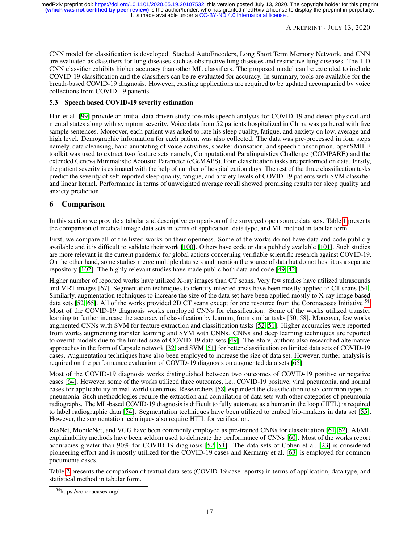CNN model for classification is developed. Stacked AutoEncoders, Long Short Term Memory Network, and CNN are evaluated as classifiers for lung diseases such as obstructive lung diseases and restrictive lung diseases. The 1-D CNN classifier exhibits higher accuracy than other ML classifiers. The proposed model can be extended to include COVID-19 classification and the classifiers can be re-evaluated for accuracy. In summary, tools are available for the breath-based COVID-19 diagnosis. However, existing applications are required to be updated accompanied by voice collections from COVID-19 patients.

## 5.3 Speech based COVID-19 severity estimation

Han et al. [\[99\]](#page-27-14) provide an initial data driven study towards speech analysis for COVID-19 and detect physical and mental states along with symptom severity. Voice data from 52 patients hospitalized in China was gathered with five sample sentences. Moreover, each patient was asked to rate his sleep quality, fatigue, and anxiety on low, average and high level. Demographic information for each patient was also collected. The data was pre-processed in four steps namely, data cleansing, hand annotating of voice activities, speaker diarisation, and speech transcription. openSMILE toolkit was used to extract two feature sets namely, Computational Paralinguistics Challenge (COMPARE) and the extended Geneva Minimalistic Acoustic Parameter (eGeMAPS). Four classification tasks are performed on data. Firstly, the patient severity is estimated with the help of number of hospitalization days. The rest of the three classification tasks predict the severity of self-reported sleep quality, fatigue, and anxiety levels of COVID-19 patients with SVM classifier and linear kernel. Performance in terms of unweighted average recall showed promising results for sleep quality and anxiety prediction.

# <span id="page-16-0"></span>6 Comparison

In this section we provide a tabular and descriptive comparison of the surveyed open source data sets. Table [1](#page-17-0) presents the comparison of medical image data sets in terms of application, data type, and ML method in tabular form.

First, we compare all of the listed works on their openness. Some of the works do not have data and code publicly available and it is difficult to validate their work [\[100\]](#page-27-15). Others have code or data publicly available [\[101\]](#page-27-16). Such studies are more relevant in the current pandemic for global actions concerning verifiable scientific research against COVID-19. On the other hand, some studies merge multiple data sets and mention the source of data but do not host it as a separate repository [\[102\]](#page-27-17). The highly relevant studies have made public both data and code [\[49,](#page-25-5) [42\]](#page-24-18).

Higher number of reported works have utilized X-ray images than CT scans. Very few studies have utilized ultrasounds and MRT images [\[67\]](#page-26-3). Segmentation techniques to identify infected areas have been mostly applied to CT scans [\[54\]](#page-25-10). Similarly, augmentation techniques to increase the size of the data set have been applied mostly to X-ray image based data sets [\[52,](#page-25-8) [65\]](#page-26-1). All of the works provided 2D CT scans except for one resource from the Coronacases Initiative <sup>[54](#page-16-1)</sup>. Most of the COVID-19 diagnosis works employed CNNs for classification. Some of the works utilized transfer learning to further increase the accuracy of classification by learning from similar tasks [\[50,](#page-25-6) [58\]](#page-25-14). Moreover, few works augmented CNNs with SVM for feature extraction and classification tasks [\[52,](#page-25-8) [51\]](#page-25-7). Higher accuracies were reported from works augmenting transfer learning and SVM with CNNs. CNNs and deep learning techniques are reported to overfit models due to the limited size of COVID-19 data sets [\[49\]](#page-25-5). Therefore, authors also researched alternative approaches in the form of Capsule network [\[32\]](#page-24-8) and SVM [\[51\]](#page-25-7) for better classification on limited data sets of COVID-19 cases. Augmentation techniques have also been employed to increase the size of data set. However, further analysis is required on the performance evaluation of COVID-19 diagnosis on augmented data sets [\[65\]](#page-26-1).

Most of the COVID-19 diagnosis works distinguished between two outcomes of COVID-19 positive or negative cases [\[64\]](#page-26-0). However, some of the works utilized three outcomes, i.e., COVID-19 positive, viral pneumonia, and normal cases for applicability in real-world scenarios. Researchers [\[58\]](#page-25-14) expanded the classification to six common types of pneumonia. Such methodologies require the extraction and compilation of data sets with other categories of pneumonia radiographs. The ML-based COVID-19 diagnosis is difficult to fully automate as a human in the loop (HITL) is required to label radiographic data [\[54\]](#page-25-10). Segmentation techniques have been utilized to embed bio-markers in data set [\[55\]](#page-25-11). However, the segmentation techniques also require HITL for verification.

ResNet, MobileNet, and VGG have been commonly employed as pre-trained CNNs for classification [\[61,](#page-25-17) [62\]](#page-25-18). AI/ML explainability methods have been seldom used to delineate the performance of CNNs [\[60\]](#page-25-16). Most of the works report accuracies greater than 90% for COVID-19 diagnosis [\[52,](#page-25-8) [51\]](#page-25-7). The data sets of Cohen et al. [\[23\]](#page-23-21) is considered pioneering effort and is mostly utilized for the COVID-19 cases and Kermany et al. [\[63\]](#page-25-19) is employed for common pneumonia cases.

Table [2](#page-18-0) presents the comparison of textual data sets (COVID-19 case reports) in terms of application, data type, and statistical method in tabular form.

<span id="page-16-1"></span><sup>54</sup>https://coronacases.org/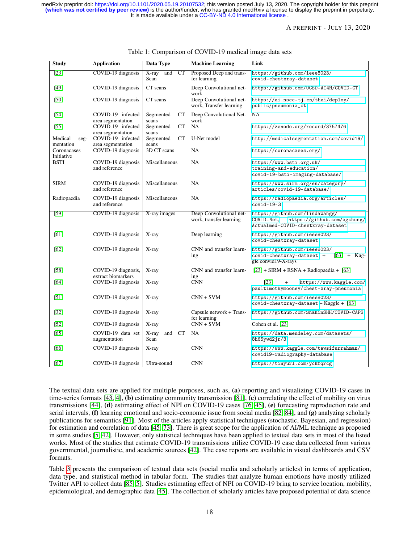#### A PREPRINT - JULY 13, 2020

| <b>Study</b>                 | <b>Application</b>                        | <b>Data Type</b>                  | <b>Machine Learning</b>                            | Link                                                                                                             |  |
|------------------------------|-------------------------------------------|-----------------------------------|----------------------------------------------------|------------------------------------------------------------------------------------------------------------------|--|
| $[23]$                       | COVID-19 diagnosis                        | and<br>$X$ -ray<br>CT<br>Scan     | Proposed Deep and trans-<br>fer learning           | https://github.com/ieee8023/<br>covid-chestxray-dataset                                                          |  |
| $[49]$                       | COVID-19 diagnosis                        | CT scans                          | Deep Convolutional net-<br>work                    | https://github.com/UCSD-AI4H/COVID-CT                                                                            |  |
| [50]                         | COVID-19 diagnosis                        | CT scans                          | Deep Convolutional net-<br>work, Transfer learning | https://ai.nscc-tj.cn/thai/deploy/<br>public/pneumonia_ct                                                        |  |
| $[54]$                       | COVID-19 infected<br>area segmentation    | CT<br>Segmented<br>scans          | Deep Convolutional Net-<br>work                    | NA                                                                                                               |  |
| $[55]$                       | COVID-19 infected<br>area segmentation    | Segmented<br><b>CT</b><br>scans   | NA                                                 | https://zenodo.org/record/3757476                                                                                |  |
| Medical<br>seg-<br>mentation | COVID-19 infected<br>area segmentation    | Segmented<br><b>CT</b><br>scans   | U-Net model                                        | http://medicalsegmentation.com/covid19/                                                                          |  |
| Coronacases<br>Initiative    | COVID-19 diagnosis                        | 3D CT scans                       | NA                                                 | https://coronacases.org/                                                                                         |  |
| <b>BSTI</b>                  | COVID-19 diagnosis<br>and reference       | Miscellaneous                     | <b>NA</b>                                          | https://www.bsti.org.uk/<br>training-and-education/<br>covid-19-bsti-imaging-database/                           |  |
| <b>SIRM</b>                  | COVID-19 diagnosis<br>and reference       | Miscellaneous                     | NA                                                 | https://www.sirm.org/en/category/<br>articles/covid-19-database/                                                 |  |
| Radiopaedia                  | COVID-19 diagnosis<br>and reference       | Miscellaneous                     | NA                                                 | https://radiopaedia.org/articles/<br>$covid-19-3$                                                                |  |
| $[59]$                       | COVID-19 diagnosis                        | X-ray images                      | Deep Convolutional net-<br>work, transfer learning | https://github.com/lindawangg/<br>https://github.com/agchung/<br>COVID-Net,<br>Actualmed-COVID-chestxray-dataset |  |
| [61]                         | COVID-19 diagnosis                        | X-ray                             | Deep learning                                      | https://github.com/ieee8023/<br>covid-chestxray-dataset                                                          |  |
| [62]                         | COVID-19 diagnosis                        | X-ray                             | CNN and transfer learn-<br>ing                     | https://github.com/ieee8023/<br>covid-chestxray-dataset +<br>$[63] + \text{Kag}$<br>gle convid19-X-rays          |  |
| [58]                         | COVID-19 diagnosis,<br>extract biomarkers | X-ray                             | CNN and transfer learn-<br>ing                     | $[23] + SIRM + RSNA + Radiopacdia + [63]$                                                                        |  |
| [64]                         | COVID-19 diagnosis                        | X-ray                             | <b>CNN</b>                                         | [23]<br>https://www.kaggle.com/<br>paultimothymooney/chest-xray-pneumonia                                        |  |
| [51]                         | COVID-19 diagnosis                        | X-ray                             | $CNN + SVM$                                        | https://github.com/ieee8023/<br>$covid$ -chestxray-dataset + Kaggle + [63]                                       |  |
| $[32]$                       | COVID-19 diagnosis                        | X-ray                             | Capsule network + Trans-<br>fer learning           | https://github.com/ShahinSHH/COVID-CAPS                                                                          |  |
| $[52]$                       | COVID-19 diagnosis                        | X-ray                             | $CNN + SVM$                                        | Cohen et al. [23]                                                                                                |  |
| [65]                         | COVID-19 data set<br>augmentation         | X-ray<br>and<br><b>CT</b><br>Scan | <b>NA</b>                                          | https://data.mendeley.com/datasets/<br>8h65ywd2jr/3                                                              |  |
| [66]                         | COVID-19 diagnosis                        | X-ray                             | <b>CNN</b>                                         | https://www.kaggle.com/tawsifurrahman/<br>covid19-radiography-database                                           |  |
| [67]                         | COVID-19 diagnosis                        | Ultra-sound                       | <b>CNN</b>                                         | https://tinyurl.com/yckfqrcg                                                                                     |  |

#### <span id="page-17-0"></span>Table 1: Comparison of COVID-19 medical image data sets

The textual data sets are applied for multiple purposes, such as, (a) reporting and visualizing COVID-19 cases in time-series formats  $[43, 4]$  $[43, 4]$  $[43, 4]$ , (b) estimating community transmission  $[81]$ , (c) correlating the effect of mobility on virus transmissions [\[44\]](#page-25-0), (d) estimating effect of NPI on COVID-19 cases [\[76,](#page-26-12) [45\]](#page-25-1), (e) forecasting reproduction rate and serial intervals, (f) learning emotional and socio-economic issue from social media [\[82,](#page-26-18) [84\]](#page-26-20), and (g) analyzing scholarly publications for semantics [\[91\]](#page-27-6). Most of the articles apply statistical techniques (stochastic, Bayesian, and regression) for estimation and correlation of data [\[45,](#page-25-1) [73\]](#page-26-9). There is great scope for the application of AI/ML technique as proposed in some studies [\[5,](#page-23-3) [42\]](#page-24-18). However, only statistical techniques have been applied to textual data sets in most of the listed works. Most of the studies that estimate COVID-19 transmissions utilize COVID-19 case data collected from various governmental, journalistic, and academic sources [\[42\]](#page-24-18). The case reports are available in visual dashboards and CSV formats.

Table [3](#page-18-1) presents the comparison of textual data sets (social media and scholarly articles) in terms of application, data type, and statistical method in tabular form. The studies that analyze human emotions have mostly utilized Twitter API to collect data [\[85,](#page-27-0) [5\]](#page-23-3). Studies estimating effect of NPI on COVID-19 bring to service location, mobility, epidemiological, and demographic data [\[45\]](#page-25-1). The collection of scholarly articles have proposed potential of data science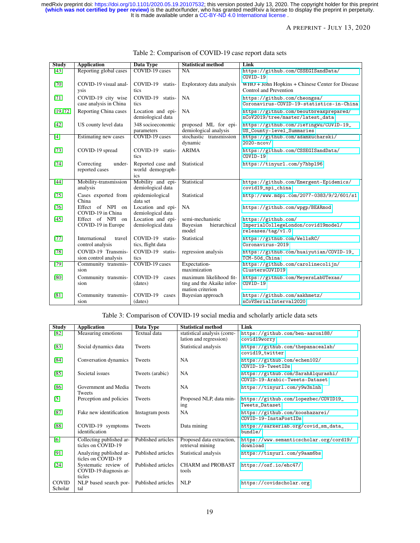## A PREPRINT - JULY 13, 2020

| <b>Study</b>      | <b>Application</b>                           | <b>Data Type</b>                             | <b>Statistical method</b>                                                 | Link                                                                            |
|-------------------|----------------------------------------------|----------------------------------------------|---------------------------------------------------------------------------|---------------------------------------------------------------------------------|
| $\overline{[43]}$ | Reporting global cases                       | COVID-19 cases                               | NA                                                                        | https://github.com/CSSEGISandData/<br>$COVID-19$                                |
| $[70]$            | COVID-19 visual anal-<br>ysis                | COVID-19 statis-<br>tics                     | Exploratory data analysis                                                 | WHO + John Hopkins + Chinese Center for Disease<br>Control and Prevention       |
| $[71]$            | COVID-19 city wise<br>case analysis in China | COVID-19 statis-<br>tics                     | <b>NA</b>                                                                 | https://github.com/cheongsa/<br>Coronavirus-COVID-19-statistics-in-China        |
| [19, 72]          | Reporting China cases                        | Location and epi-<br>demiological data       | NA                                                                        | https://github.com/beoutbreakprepared/<br>nCoV2019/tree/master/latest_data      |
| [42]              | US county level data                         | 348 socioeconomic<br>parameters              | proposed ML for epi-<br>demiological analysis                             | https://github.com/JieYingWu/COVID-19_<br>US_County-level_Summaries             |
| [4]               | Estimating new cases                         | COVID-19 cases                               | stochastic transmission<br>dynamic                                        | https://github.com/adamkucharski/<br>$2020 - ncov/$                             |
| $[73]$            | COVID-19 spread                              | COVID-19 statis-<br>tics                     | <b>ARIMA</b>                                                              | https://github.com/CSSEGISandData/<br>$COVID-19$                                |
| $[74]$            | Correcting<br>under-<br>reported cases       | Reported case and<br>world demograph-<br>ics | Statistical                                                               | https://tinyurl.com/y7hbp196                                                    |
| [44]              | Mobility-transmission<br>analysis            | Mobility and epi-<br>demiological data       | Statistical                                                               | https://github.com/Emergent-Epidemics/<br>covid19_npi_china                     |
| $[75]$            | Cases exported from<br>China                 | epidemiological<br>data set                  | Statistical                                                               | http://www.mdpi.com/2077-0383/9/2/601/s1                                        |
| [76]              | Effect of NPI on<br>COVID-19 in China        | Location and epi-<br>demiological data       | <b>NA</b>                                                                 | https://github.com/wpgp/BEARmod                                                 |
| $[45]$            | Effect of NPI on<br>COVID-19 in Europe       | Location and epi-<br>demiological data       | semi-mechanistic<br>Bayesian<br>hierarchical<br>model                     | https://github.com/<br>ImperialCollegeLondon/covid19model/<br>releases/tag/v1.0 |
| $[77]$            | International<br>travel<br>control analysis  | COVID-19 statis-<br>tics, flight data        | Statistical                                                               | https://github.com/WellsRC/<br>Coronavirus-2019                                 |
| [78]              | COVID-19 Transmis-<br>sion control analysis  | COVID-19 statis-<br>tics                     | regression analysis                                                       | https://github.com/huaiyutian/COVID-19_<br>TCM-50d_China                        |
| $\overline{79}$   | Community transmis-<br>sion                  | COVID-19 cases                               | Expectation-<br>maximization                                              | https://github.com/carolinecolijn/<br>ClustersCOVID19                           |
| [80]              | Community transmis-<br>sion                  | COVID-19<br>cases<br>(dates)                 | maximum likelihood fit-<br>ting and the Akaike infor-<br>mation criterion | https://github.com/MeyersLabUTexas/<br>COVID-19                                 |
| [81]              | Community transmis-<br>sion                  | COVID-19<br>cases<br>(dates)                 | Bayesian approach                                                         | https://github.com/aakhmetz/<br>nCoVSerialInterval2020                          |

## <span id="page-18-0"></span>Table 2: Comparison of COVID-19 case report data sets

<span id="page-18-1"></span>Table 3: Comparison of COVID-19 social media and scholarly article data sets

| <b>Study</b>            | <b>Application</b>                                       | Data Type          | <b>Statistical method</b>                              | Link                                                                 |
|-------------------------|----------------------------------------------------------|--------------------|--------------------------------------------------------|----------------------------------------------------------------------|
| $\overline{82}$         | Measuring emotions                                       | Textual data       | statistical analysis (corre-<br>lation and regression) | https://github.com/ben-aaron188/<br>covid19worry                     |
| [83]                    | Social dynamics data                                     | <b>Tweets</b>      | Statistical analysis                                   | https://github.com/thepanacealab/<br>covid19_twitter                 |
| $[84]$                  | Conversation dynamics                                    | <b>Tweets</b>      | NA                                                     | https://github.com/echen102/<br>COVID-19-TweetIDs                    |
| [85]                    | Societal issues                                          | Tweets (arabic)    | NA                                                     | https://github.com/SarahAlqurashi/<br>COVID-19-Arabic-Tweets-Dataset |
| $[86]$                  | Government and Media<br><b>Tweets</b>                    | <b>Tweets</b>      | NA                                                     | https://tinyurl.com/y9w3nlnh                                         |
| $[5]$                   | Perception and policies                                  | Tweets             | Proposed NLP, data min-<br>ing                         | https://github.com/lopezbec/COVID19_<br>Tweets Dataset               |
| $[87]$                  | Fake new identification                                  | Instagram posts    | NA                                                     | https://github.com/kooshazarei/<br>COVID-19-InstaPostIDs             |
| [88]                    | COVID-19 symptoms<br>identification                      | Tweets             | Data mining                                            | https://sarkerlab.org/covid_sm_data_<br>bundle/                      |
| [6]                     | Collecting published ar-<br>ticles on COVID-19           | Published articles | Proposed data extraction,<br>retrieval mining          | https://www.semanticscholar.org/cord19/<br>download                  |
| [91]                    | Analyzing published ar-<br>ticles on COVID-19            | Published articles | Statistical analysis                                   | https://tinyurl.com/y9aam6bs                                         |
| $[24]$                  | Systematic review of<br>COVID-19 diagnosis ar-<br>ticles | Published articles | <b>CHARM and PROBAST</b><br>tools                      | https://osf.io/ehc47/                                                |
| <b>COVID</b><br>Scholar | NLP based search por-<br>tal                             | Published articles | NLP                                                    | https://covidscholar.org                                             |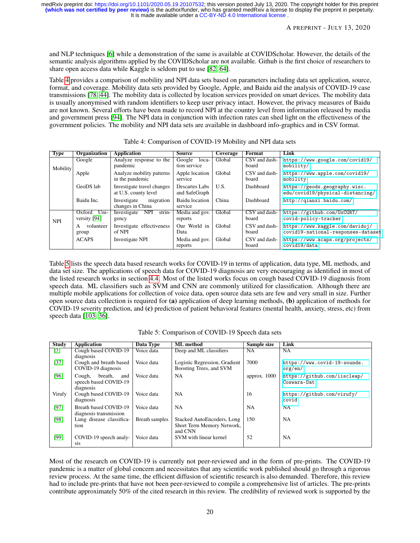and NLP techniques [\[6\]](#page-23-4) while a demonstration of the same is available at COVIDScholar. However, the details of the semantic analysis algorithms applied by the COVIDScholar are not available. Github is the first choice of researchers to share open access data while Kaggle is seldom put to use [\[82,](#page-26-18) [64\]](#page-26-0).

Table [4](#page-19-0) provides a comparison of mobility and NPI data sets based on parameters including data set application, source, format, and coverage. Mobility data sets provided by Google, Apple, and Baidu aid the analysis of COVID-19 case transmissions [\[78,](#page-26-14) [44\]](#page-25-0). The mobility data is collected by location services provided on smart devices. The mobility data is usually anonymised with random identifiers to keep user privacy intact. However, the privacy measures of Baidu are not known. Several efforts have been made to record NPI at the country level from information released by media and government press [\[94\]](#page-27-9). The NPI data in conjunction with infection rates can shed light on the effectiveness of the government policies. The mobility and NPI data sets are available in dashboard info-graphics and in CSV format.

| <b>Type</b> | Organization                   | <b>Application</b>                                 | <b>Source</b>                    | Coverage | Format                 | Link                                                                  |
|-------------|--------------------------------|----------------------------------------------------|----------------------------------|----------|------------------------|-----------------------------------------------------------------------|
| Mobility    | Google                         | Analyze response to the<br>pandemic                | Google<br>loca-<br>tion service  | Global   | CSV and dash-<br>board | https://www.google.com/covid19/<br>mobility/                          |
|             | Apple                          | Analyze mobility patterns<br>in the pandemic       | Apple location<br>service        | Global   | CSV and dash-<br>board | https://www.apple.com/covid19/<br>mobility                            |
|             | GeoDS lab                      | Investigate travel changes<br>at U.S. county level | Descartes Labs<br>and SafeGraph  | U.S.     | Dashboard              | https://geods.geography.wisc.<br>edu/covid19/physical-distancing/     |
|             | Baidu Inc.                     | Investigate<br>migration<br>changes in China       | <b>Baidu</b> location<br>service | China    | Dashboard              | http://qianxi.baidu.com/                                              |
| <b>NPI</b>  | Uni-<br>Oxford<br>versity [94] | Investigate NPI<br>strin-<br>gency                 | Media and gov.<br>reports        | Global   | CSV and dash-<br>board | https://github.com/0xCGRT/<br>covid-policy-tracker                    |
|             | volunteer<br>А<br>group        | Investigate effectiveness<br>of NPI                | Our World in<br>Data             | Global   | CSV and dash-<br>board | https://www.kaggle.com/davidoj/<br>covid19-national-responses-dataset |
|             | <b>ACAPS</b>                   | Investigate NPI                                    | Media and gov.<br>reports        | Global   | CSV and dash-<br>board | https://www.acaps.org/projects/<br>covid19/data                       |

<span id="page-19-0"></span>Table 4: Comparison of COVID-19 Mobility and NPI data sets

Table [5](#page-19-1) lists the speech data based research works for COVID-19 in terms of application, data type, ML methods, and data set size. The applications of speech data for COVID-19 diagnosis are very encouraging as identified in most of the listed research works in section [4.4.](#page-14-0) Most of the listed works focus on cough based COVID-19 diagnosis from speech data. ML classifiers such as SVM and CNN are commonly utilized for classification. Although there are multiple mobile applications for collection of voice data, open source data sets are few and very small in size. Further open source data collection is required for (a) application of deep learning methods, (b) application of methods for COVID-19 severity prediction, and (c) prediction of patient behavioral features (mental health, anxiety, stress, etc) from speech data [\[103,](#page-27-18) [36\]](#page-24-12).

| <b>Study</b> | Application                                                    | Data Type      | <b>ML</b> method                                                    | Sample size  | Link                                        |
|--------------|----------------------------------------------------------------|----------------|---------------------------------------------------------------------|--------------|---------------------------------------------|
| $[7]$        | Cough based COVID-19                                           | Voice data     | Deep and ML classifiers                                             | NA           | <b>NA</b>                                   |
|              | diagnosis                                                      |                |                                                                     |              |                                             |
| $[37]$       | Cough and breath based<br>COVID-19 diagnosis                   | Voice data     | Logistic Regression, Gradient<br>Boosting Trees, and SVM            | 7000         | https://www.covid-19-sounds.<br>org/en/     |
| [96]         | breath,<br>Cough,<br>and<br>speech based COVID-19<br>diagnosis | Voice data     | <b>NA</b>                                                           | approx. 1000 | https://github.com/iiscleap/<br>Coswara-Dat |
| Virufy       | Cough based COVID-19<br>diagnosis                              | Voice data     | <b>NA</b>                                                           | 16           | https://github.com/virufy/<br>covid         |
| [97]         | Breath based COVID-19<br>diagnosis transmission                | Voice data     | <b>NA</b>                                                           | <b>NA</b>    | <b>NA</b>                                   |
| [98]         | Lung disease classifica-<br>tion                               | Breath samples | Stacked AutoEncoders, Long<br>Short Term Memory Network,<br>and CNN | 150          | <b>NA</b>                                   |
| [99]         | COVID-19 speech analy-<br>sis                                  | Voice data     | SVM with linear kernel                                              | 52           | <b>NA</b>                                   |

<span id="page-19-1"></span>Table 5: Comparison of COVID-19 Speech data sets

Most of the research on COVID-19 is currently not peer-reviewed and in the form of pre-prints. The COVID-19 pandemic is a matter of global concern and necessitates that any scientific work published should go through a rigorous review process. At the same time, the efficient diffusion of scientific research is also demanded. Therefore, this review had to include pre-prints that have not been peer-reviewed to compile a comprehensive list of articles. The pre-prints contribute approximately 50% of the cited research in this review. The credibility of reviewed work is supported by the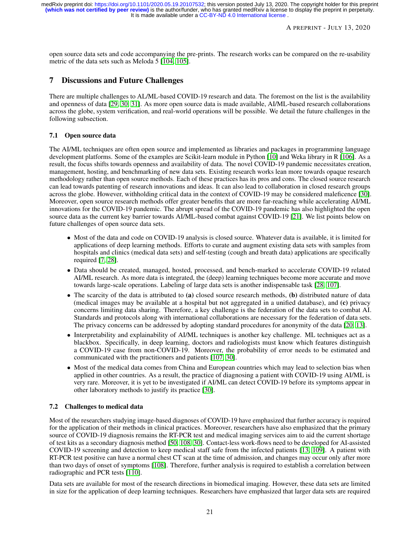#### A PREPRINT - JULY 13, 2020

open source data sets and code accompanying the pre-prints. The research works can be compared on the re-usability metric of the data sets such as Meloda 5 [\[104,](#page-27-19) [105\]](#page-27-20).

# <span id="page-20-0"></span>7 Discussions and Future Challenges

There are multiple challenges to AL/ML-based COVID-19 research and data. The foremost on the list is the availability and openness of data [\[29,](#page-24-5) [30,](#page-24-6) [31\]](#page-24-7). As more open source data is made available, AI/ML-based research collaborations across the globe, system verification, and real-world operations will be possible. We detail the future challenges in the following subsection.

## 7.1 Open source data

The AI/ML techniques are often open source and implemented as libraries and packages in programming language development platforms. Some of the examples are Scikit-learn module in Python [\[10\]](#page-23-8) and Weka library in R [\[106\]](#page-28-0). As a result, the focus shifts towards openness and availability of data. The novel COVID-19 pandemic necessitates creation, management, hosting, and benchmarking of new data sets. Existing research works lean more towards opaque research methodology rather than open source methods. Each of these practices has its pros and cons. The closed source research can lead towards patenting of research innovations and ideas. It can also lead to collaboration in closed research groups across the globe. However, withholding critical data in the context of COVID-19 may be considered maleficence [\[30\]](#page-24-6). Moreover, open source research methods offer greater benefits that are more far-reaching while accelerating AI/ML innovations for the COVID-19 pandemic. The abrupt spread of the COVID-19 pandemic has also highlighted the open source data as the current key barrier towards AI/ML-based combat against COVID-19 [\[21\]](#page-23-19). We list points below on future challenges of open source data sets.

- Most of the data and code on COVID-19 analysis is closed source. Whatever data is available, it is limited for applications of deep learning methods. Efforts to curate and augment existing data sets with samples from hospitals and clinics (medical data sets) and self-testing (cough and breath data) applications are specifically required [\[7,](#page-23-5) [28\]](#page-24-4).
- Data should be created, managed, hosted, processed, and bench-marked to accelerate COVID-19 related AI/ML research. As more data is integrated, the (deep) learning techniques become more accurate and move towards large-scale operations. Labeling of large data sets is another indispensable task [\[28,](#page-24-4) [107\]](#page-28-1).
- The scarcity of the data is attributed to (a) closed source research methods, (b) distributed nature of data (medical images may be available at a hospital but not aggregated in a unified database), and (c) privacy concerns limiting data sharing. Therefore, a key challenge is the federation of the data sets to combat AI. Standards and protocols along with international collaborations are necessary for the federation of data sets. The privacy concerns can be addressed by adopting standard procedures for anonymity of the data [\[20,](#page-23-18) [13\]](#page-23-11).
- Interpretability and explainability of AI/ML techniques is another key challenge. ML techniques act as a blackbox. Specifically, in deep learning, doctors and radiologists must know which features distinguish a COVID-19 case from non-COVID-19. Moreover, the probability of error needs to be estimated and communicated with the practitioners and patients [\[107,](#page-28-1) [30\]](#page-24-6).
- Most of the medical data comes from China and European countries which may lead to selection bias when applied in other countries. As a result, the practice of diagnosing a patient with COVID-19 using AI/ML is very rare. Moreover, it is yet to be investigated if AI/ML can detect COVID-19 before its symptoms appear in other laboratory methods to justify its practice [\[30\]](#page-24-6).

### 7.2 Challenges to medical data

Most of the researchers studying image-based diagnoses of COVID-19 have emphasized that further accuracy is required for the application of their methods in clinical practices. Moreover, researchers have also emphasized that the primary source of COVID-19 diagnosis remains the RT-PCR test and medical imaging services aim to aid the current shortage of test kits as a secondary diagnosis method [\[50,](#page-25-6) [108,](#page-28-2) [30\]](#page-24-6). Contact-less work-flows need to be developed for AI-assisted COVID-19 screening and detection to keep medical staff safe from the infected patients [\[13,](#page-23-11) [109\]](#page-28-3). A patient with RT-PCR test positive can have a normal chest CT scan at the time of admission, and changes may occur only after more than two days of onset of symptoms [\[108\]](#page-28-2). Therefore, further analysis is required to establish a correlation between radiographic and PCR tests [\[110\]](#page-28-4).

Data sets are available for most of the research directions in biomedical imaging. However, these data sets are limited in size for the application of deep learning techniques. Researchers have emphasized that larger data sets are required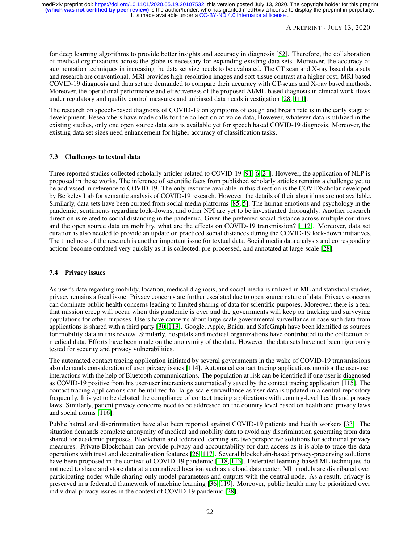for deep learning algorithms to provide better insights and accuracy in diagnosis [\[52\]](#page-25-8). Therefore, the collaboration of medical organizations across the globe is necessary for expanding existing data sets. Moreover, the accuracy of augmentation techniques in increasing the data set size needs to be evaluated. The CT scan and X-ray based data sets and research are conventional. MRI provides high-resolution images and soft-tissue contrast at a higher cost. MRI based COVID-19 diagnosis and data set are demanded to compare their accuracy with CT-scans and X-ray based methods. Moreover, the operational performance and effectiveness of the proposed AI/ML-based diagnosis in clinical work-flows under regulatory and quality control measures and unbiased data needs investigation [\[28,](#page-24-4) [111\]](#page-28-5).

The research on speech-based diagnosis of COVID-19 on symptoms of cough and breath rate is in the early stage of development. Researchers have made calls for the collection of voice data, However, whatever data is utilized in the existing studies, only one open source data sets is available yet for speech based COVID-19 diagnosis. Moreover, the existing data set sizes need enhancement for higher accuracy of classification tasks.

## 7.3 Challenges to textual data

Three reported studies collected scholarly articles related to COVID-19 [\[91,](#page-27-6) [6,](#page-23-4) [24\]](#page-24-0). However, the application of NLP is proposed in these works. The inference of scientific facts from published scholarly articles remains a challenge yet to be addressed in reference to COVID-19. The only resource available in this direction is the COVIDScholar developed by Berkeley Lab for semantic analysis of COVID-19 research. However, the details of their algorithms are not available. Similarly, data sets have been curated from social media platforms [\[85,](#page-27-0) [5\]](#page-23-3). The human emotions and psychology in the pandemic, sentiments regarding lock-downs, and other NPI are yet to be investigated thoroughly. Another research direction is related to social distancing in the pandemic. Given the preferred social distance across multiple countries and the open source data on mobility, what are the effects on COVID-19 transmission? [\[112\]](#page-28-6). Moreover, data set curation is also needed to provide an update on practiced social distances during the COVID-19 lock-down initiatives. The timeliness of the research is another important issue for textual data. Social media data analysis and corresponding actions become outdated very quickly as it is collected, pre-processed, and annotated at large-scale [\[28\]](#page-24-4).

## 7.4 Privacy issues

As user's data regarding mobility, location, medical diagnosis, and social media is utilized in ML and statistical studies, privacy remains a focal issue. Privacy concerns are further escalated due to open source nature of data. Privacy concerns can dominate public health concerns leading to limited sharing of data for scientific purposes. Moreover, there is a fear that mission creep will occur when this pandemic is over and the governments will keep on tracking and surveying populations for other purposes. Users have concerns about large-scale governmental surveillance in case such data from applications is shared with a third party [\[30,](#page-24-6) [113\]](#page-28-7). Google, Apple, Baidu, and SafeGraph have been identified as sources for mobility data in this review. Similarly, hospitals and medical organizations have contributed to the collection of medical data. Efforts have been made on the anonymity of the data. However, the data sets have not been rigorously tested for security and privacy vulnerabilities.

The automated contact tracing application initiated by several governments in the wake of COVID-19 transmissions also demands consideration of user privacy issues [\[114\]](#page-28-8). Automated contact tracing applications monitor the user-user interactions with the help of Bluetooth communications. The population at risk can be identified if one user is diagnosed as COVID-19 positive from his user-user interactions automatically saved by the contact tracing application [\[115\]](#page-28-9). The contact tracing applications can be utilized for large-scale surveillance as user data is updated in a central repository frequently. It is yet to be debated the compliance of contact tracing applications with country-level health and privacy laws. Similarly, patient privacy concerns need to be addressed on the country level based on health and privacy laws and social norms [\[116\]](#page-28-10).

Public hatred and discrimination have also been reported against COVID-19 patients and health workers [\[33\]](#page-24-9). The situation demands complete anonymity of medical and mobility data to avoid any discrimination generating from data shared for academic purposes. Blockchain and federated learning are two perspective solutions for additional privacy measures. Private Blockchain can provide privacy and accountability for data access as it is able to trace the data operations with trust and decentralization features [\[26,](#page-24-2) [117\]](#page-28-11). Several blockchain-based privacy-preserving solutions have been proposed in the context of COVID-19 pandemic [\[118,](#page-28-12) [113\]](#page-28-7). Federated learning-based ML techniques do not need to share and store data at a centralized location such as a cloud data center. ML models are distributed over participating nodes while sharing only model parameters and outputs with the central node. As a result, privacy is preserved in a federated framework of machine learning [\[36,](#page-24-12) [119\]](#page-28-13). Moreover, public health may be prioritized over individual privacy issues in the context of COVID-19 pandemic [\[28\]](#page-24-4).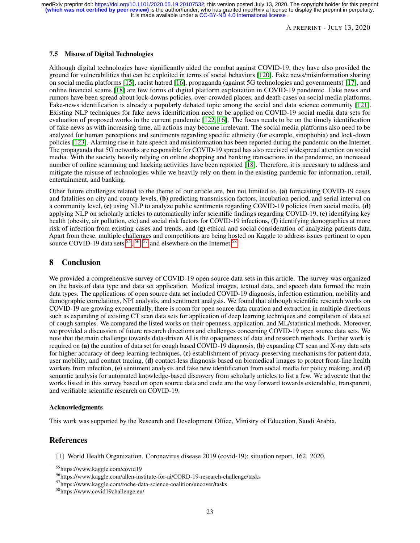A PREPRINT - JULY 13, 2020

#### 7.5 Misuse of Digital Technologies

Although digital technologies have significantly aided the combat against COVID-19, they have also provided the ground for vulnerabilities that can be exploited in terms of social behaviors [\[120\]](#page-28-14). Fake news/misinformation sharing on social media platforms [\[15\]](#page-23-13), racist hatred [\[16\]](#page-23-14), propaganda (against 5G technologies and governments) [\[17\]](#page-23-15), and online financial scams [\[18\]](#page-23-16) are few forms of digital platform exploitation in COVID-19 pandemic. Fake news and rumors have been spread about lock-downs policies, over-crowded places, and death cases on social media platforms. Fake-news identification is already a popularly debated topic among the social and data science community [\[121\]](#page-28-15). Existing NLP techniques for fake news identification need to be applied on COVID-19 social media data sets for evaluation of proposed works in the current pandemic [\[122,](#page-28-16) [16\]](#page-23-14). The focus needs to be on the timely identification of fake news as with increasing time, all actions may become irrelevant. The social media platforms also need to be analyzed for human perceptions and sentiments regarding specific ethnicity (for example, sinophobia) and lock-down policies [\[123\]](#page-28-17). Alarming rise in hate speech and misinformation has been reported during the pandemic on the Internet. The propaganda that 5G networks are responsible for COVID-19 spread has also received widespread attention on social media. With the society heavily relying on online shopping and banking transactions in the pandemic, an increased number of online scamming and hacking activities have been reported [\[18\]](#page-23-16). Therefore, it is necessary to address and mitigate the misuse of technologies while we heavily rely on them in the existing pandemic for information, retail, entertainment, and banking.

Other future challenges related to the theme of our article are, but not limited to, (a) forecasting COVID-19 cases and fatalities on city and county levels, (b) predicting transmission factors, incubation period, and serial interval on a community level, (c) using NLP to analyze public sentiments regarding COVID-19 policies from social media, (d) applying NLP on scholarly articles to automatically infer scientific findings regarding COVID-19, (e) identifying key health (obesity, air pollution, etc) and social risk factors for COVID-19 infections, (f) identifying demographics at more risk of infection from existing cases and trends, and (g) ethical and social consideration of analyzing patients data. Apart from these, multiple challenges and competitions are being hosted on Kaggle to address issues pertinent to open source COVID-19 data sets  $^{55}$  $^{55}$  $^{55}$ ,  $^{56}$  $^{56}$  $^{56}$ ,  $^{57}$  $^{57}$  $^{57}$  and elsewhere on the Internet  $^{58}$  $^{58}$  $^{58}$ .

## <span id="page-22-1"></span>8 Conclusion

We provided a comprehensive survey of COVID-19 open source data sets in this article. The survey was organized on the basis of data type and data set application. Medical images, textual data, and speech data formed the main data types. The applications of open source data set included COVID-19 diagnosis, infection estimation, mobility and demographic correlations, NPI analysis, and sentiment analysis. We found that although scientific research works on COVID-19 are growing exponentially, there is room for open source data curation and extraction in multiple directions such as expanding of existing CT scan data sets for application of deep learning techniques and compilation of data set of cough samples. We compared the listed works on their openness, application, and ML/statistical methods. Moreover, we provided a discussion of future research directions and challenges concerning COVID-19 open source data sets. We note that the main challenge towards data-driven AI is the opaqueness of data and research methods. Further work is required on (a) the curation of data set for cough based COVID-19 diagnosis, (b) expanding CT scan and X-ray data sets for higher accuracy of deep learning techniques, (c) establishment of privacy-preserving mechanisms for patient data, user mobility, and contact tracing, (d) contact-less diagnosis based on biomedical images to protect front-line health workers from infection, (e) sentiment analysis and fake new identification from social media for policy making, and (f) semantic analysis for automated knowledge-based discovery from scholarly articles to list a few. We advocate that the works listed in this survey based on open source data and code are the way forward towards extendable, transparent, and verifiable scientific research on COVID-19.

#### Acknowledgments

This work was supported by the Research and Development Office, Ministry of Education, Saudi Arabia.

## References

<span id="page-22-0"></span>[1] World Health Organization. Coronavirus disease 2019 (covid-19): situation report, 162. 2020.

<span id="page-22-2"></span><sup>55</sup>https://www.kaggle.com/covid19

<span id="page-22-3"></span><sup>56</sup>https://www.kaggle.com/allen-institute-for-ai/CORD-19-research-challenge/tasks

<span id="page-22-4"></span><sup>57</sup>https://www.kaggle.com/roche-data-science-coalition/uncover/tasks

<span id="page-22-5"></span><sup>58</sup>https://www.covid19challenge.eu/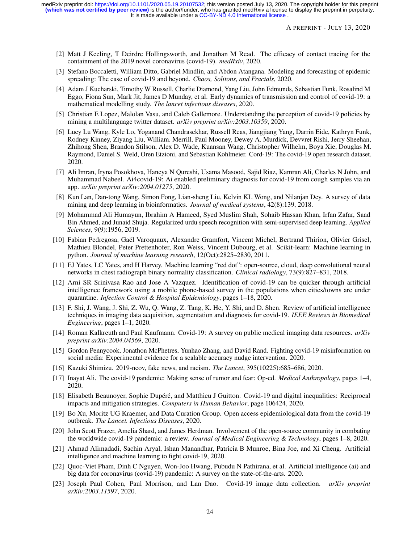- <span id="page-23-0"></span>[2] Matt J Keeling, T Deirdre Hollingsworth, and Jonathan M Read. The efficacy of contact tracing for the containment of the 2019 novel coronavirus (covid-19). *medRxiv*, 2020.
- <span id="page-23-1"></span>[3] Stefano Boccaletti, William Ditto, Gabriel Mindlin, and Abdon Atangana. Modeling and forecasting of epidemic spreading: The case of covid-19 and beyond. *Chaos, Solitons, and Fractals*, 2020.
- <span id="page-23-2"></span>[4] Adam J Kucharski, Timothy W Russell, Charlie Diamond, Yang Liu, John Edmunds, Sebastian Funk, Rosalind M Eggo, Fiona Sun, Mark Jit, James D Munday, et al. Early dynamics of transmission and control of covid-19: a mathematical modelling study. *The lancet infectious diseases*, 2020.
- <span id="page-23-3"></span>[5] Christian E Lopez, Malolan Vasu, and Caleb Gallemore. Understanding the perception of covid-19 policies by mining a multilanguage twitter dataset. *arXiv preprint arXiv:2003.10359*, 2020.
- <span id="page-23-4"></span>[6] Lucy Lu Wang, Kyle Lo, Yoganand Chandrasekhar, Russell Reas, Jiangjiang Yang, Darrin Eide, Kathryn Funk, Rodney Kinney, Ziyang Liu, William. Merrill, Paul Mooney, Dewey A. Murdick, Devvret Rishi, Jerry Sheehan, Zhihong Shen, Brandon Stilson, Alex D. Wade, Kuansan Wang, Christopher Wilhelm, Boya Xie, Douglas M. Raymond, Daniel S. Weld, Oren Etzioni, and Sebastian Kohlmeier. Cord-19: The covid-19 open research dataset. 2020.
- <span id="page-23-5"></span>[7] Ali Imran, Iryna Posokhova, Haneya N Qureshi, Usama Masood, Sajid Riaz, Kamran Ali, Charles N John, and Muhammad Nabeel. Ai4covid-19: Ai enabled preliminary diagnosis for covid-19 from cough samples via an app. *arXiv preprint arXiv:2004.01275*, 2020.
- <span id="page-23-6"></span>[8] Kun Lan, Dan-tong Wang, Simon Fong, Lian-sheng Liu, Kelvin KL Wong, and Nilanjan Dey. A survey of data mining and deep learning in bioinformatics. *Journal of medical systems*, 42(8):139, 2018.
- <span id="page-23-7"></span>[9] Mohammad Ali Humayun, Ibrahim A Hameed, Syed Muslim Shah, Sohaib Hassan Khan, Irfan Zafar, Saad Bin Ahmed, and Junaid Shuja. Regularized urdu speech recognition with semi-supervised deep learning. *Applied Sciences*, 9(9):1956, 2019.
- <span id="page-23-8"></span>[10] Fabian Pedregosa, Gaël Varoquaux, Alexandre Gramfort, Vincent Michel, Bertrand Thirion, Olivier Grisel, Mathieu Blondel, Peter Prettenhofer, Ron Weiss, Vincent Dubourg, et al. Scikit-learn: Machine learning in python. *Journal of machine learning research*, 12(Oct):2825–2830, 2011.
- <span id="page-23-9"></span>[11] EJ Yates, LC Yates, and H Harvey. Machine learning "red dot": open-source, cloud, deep convolutional neural networks in chest radiograph binary normality classification. *Clinical radiology*, 73(9):827–831, 2018.
- <span id="page-23-10"></span>[12] Arni SR Srinivasa Rao and Jose A Vazquez. Identification of covid-19 can be quicker through artificial intelligence framework using a mobile phone-based survey in the populations when cities/towns are under quarantine. *Infection Control & Hospital Epidemiology*, pages 1–18, 2020.
- <span id="page-23-11"></span>[13] F. Shi, J. Wang, J. Shi, Z. Wu, Q. Wang, Z. Tang, K. He, Y. Shi, and D. Shen. Review of artificial intelligence techniques in imaging data acquisition, segmentation and diagnosis for covid-19. *IEEE Reviews in Biomedical Engineering*, pages 1–1, 2020.
- <span id="page-23-12"></span>[14] Roman Kalkreuth and Paul Kaufmann. Covid-19: A survey on public medical imaging data resources. *arXiv preprint arXiv:2004.04569*, 2020.
- <span id="page-23-13"></span>[15] Gordon Pennycook, Jonathon McPhetres, Yunhao Zhang, and David Rand. Fighting covid-19 misinformation on social media: Experimental evidence for a scalable accuracy nudge intervention. 2020.
- <span id="page-23-14"></span>[16] Kazuki Shimizu. 2019-ncov, fake news, and racism. *The Lancet*, 395(10225):685–686, 2020.
- <span id="page-23-15"></span>[17] Inayat Ali. The covid-19 pandemic: Making sense of rumor and fear: Op-ed. *Medical Anthropology*, pages 1–4, 2020.
- <span id="page-23-16"></span>[18] Elisabeth Beaunoyer, Sophie Dupéré, and Matthieu J Guitton. Covid-19 and digital inequalities: Reciprocal impacts and mitigation strategies. *Computers in Human Behavior*, page 106424, 2020.
- <span id="page-23-17"></span>[19] Bo Xu, Moritz UG Kraemer, and Data Curation Group. Open access epidemiological data from the covid-19 outbreak. *The Lancet. Infectious Diseases*, 2020.
- <span id="page-23-18"></span>[20] John Scott Frazer, Amelia Shard, and James Herdman. Involvement of the open-source community in combating the worldwide covid-19 pandemic: a review. *Journal of Medical Engineering & Technology*, pages 1–8, 2020.
- <span id="page-23-19"></span>[21] Ahmad Alimadadi, Sachin Aryal, Ishan Manandhar, Patricia B Munroe, Bina Joe, and Xi Cheng. Artificial intelligence and machine learning to fight covid-19, 2020.
- <span id="page-23-20"></span>[22] Quoc-Viet Pham, Dinh C Nguyen, Won-Joo Hwang, Pubudu N Pathirana, et al. Artificial intelligence (ai) and big data for coronavirus (covid-19) pandemic: A survey on the state-of-the-arts. 2020.
- <span id="page-23-21"></span>[23] Joseph Paul Cohen, Paul Morrison, and Lan Dao. Covid-19 image data collection. *arXiv preprint arXiv:2003.11597*, 2020.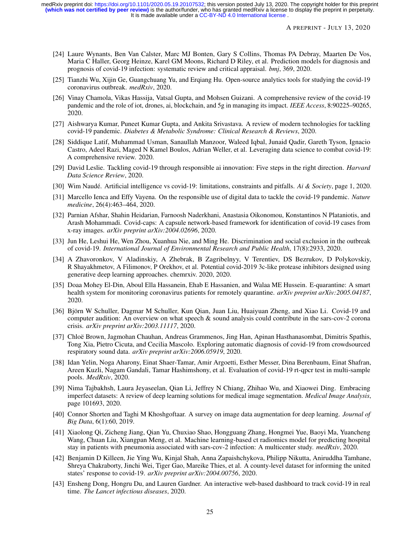It is made available under a CC-BY-ND 4.0 International license. **(which was not certified by peer review)** is the author/funder, who has granted medRxiv a license to display the preprint in perpetuity. medRxiv preprint doi: [https://doi.org/10.1101/2020.05.19.20107532;](https://doi.org/10.1101/2020.05.19.20107532) this version posted July 13, 2020. The copyright holder for this preprint

- <span id="page-24-0"></span>[24] Laure Wynants, Ben Van Calster, Marc MJ Bonten, Gary S Collins, Thomas PA Debray, Maarten De Vos, Maria C Haller, Georg Heinze, Karel GM Moons, Richard D Riley, et al. Prediction models for diagnosis and prognosis of covid-19 infection: systematic review and critical appraisal. *bmj*, 369, 2020.
- <span id="page-24-1"></span>[25] Tianzhi Wu, Xijin Ge, Guangchuang Yu, and Erqiang Hu. Open-source analytics tools for studying the covid-19 coronavirus outbreak. *medRxiv*, 2020.
- <span id="page-24-2"></span>[26] Vinay Chamola, Vikas Hassija, Vatsal Gupta, and Mohsen Guizani. A comprehensive review of the covid-19 pandemic and the role of iot, drones, ai, blockchain, and 5g in managing its impact. *IEEE Access*, 8:90225–90265, 2020.
- <span id="page-24-3"></span>[27] Aishwarya Kumar, Puneet Kumar Gupta, and Ankita Srivastava. A review of modern technologies for tackling covid-19 pandemic. *Diabetes & Metabolic Syndrome: Clinical Research & Reviews*, 2020.
- <span id="page-24-4"></span>[28] Siddique Latif, Muhammad Usman, Sanaullah Manzoor, Waleed Iqbal, Junaid Qadir, Gareth Tyson, Ignacio Castro, Adeel Razi, Maged N Kamel Boulos, Adrian Weller, et al. Leveraging data science to combat covid-19: A comprehensive review. 2020.
- <span id="page-24-5"></span>[29] David Leslie. Tackling covid-19 through responsible ai innovation: Five steps in the right direction. *Harvard Data Science Review*, 2020.
- <span id="page-24-6"></span>[30] Wim Naudé. Artificial intelligence vs covid-19: limitations, constraints and pitfalls. *Ai & Society*, page 1, 2020.
- <span id="page-24-7"></span>[31] Marcello Ienca and Effy Vayena. On the responsible use of digital data to tackle the covid-19 pandemic. *Nature medicine*, 26(4):463–464, 2020.
- <span id="page-24-8"></span>[32] Parnian Afshar, Shahin Heidarian, Farnoosh Naderkhani, Anastasia Oikonomou, Konstantinos N Plataniotis, and Arash Mohammadi. Covid-caps: A capsule network-based framework for identification of covid-19 cases from x-ray images. *arXiv preprint arXiv:2004.02696*, 2020.
- <span id="page-24-9"></span>[33] Jun He, Leshui He, Wen Zhou, Xuanhua Nie, and Ming He. Discrimination and social exclusion in the outbreak of covid-19. *International Journal of Environmental Research and Public Health*, 17(8):2933, 2020.
- <span id="page-24-10"></span>[34] A Zhavoronkov, V Aladinskiy, A Zhebrak, B Zagribelnyy, V Terentiev, DS Bezrukov, D Polykovskiy, R Shayakhmetov, A Filimonov, P Orekhov, et al. Potential covid-2019 3c-like protease inhibitors designed using generative deep learning approaches. chemrxiv. 2020, 2020.
- <span id="page-24-11"></span>[35] Doaa Mohey El-Din, Aboul Ella Hassanein, Ehab E Hassanien, and Walaa ME Hussein. E-quarantine: A smart health system for monitoring coronavirus patients for remotely quarantine. *arXiv preprint arXiv:2005.04187*, 2020.
- <span id="page-24-12"></span>[36] Björn W Schuller, Dagmar M Schuller, Kun Qian, Juan Liu, Huaiyuan Zheng, and Xiao Li. Covid-19 and computer audition: An overview on what speech & sound analysis could contribute in the sars-cov-2 corona crisis. *arXiv preprint arXiv:2003.11117*, 2020.
- <span id="page-24-13"></span>[37] Chloë Brown, Jagmohan Chauhan, Andreas Grammenos, Jing Han, Apinan Hasthanasombat, Dimitris Spathis, Tong Xia, Pietro Cicuta, and Cecilia Mascolo. Exploring automatic diagnosis of covid-19 from crowdsourced respiratory sound data. *arXiv preprint arXiv:2006.05919*, 2020.
- <span id="page-24-14"></span>[38] Idan Yelin, Noga Aharony, Einat Shaer-Tamar, Amir Argoetti, Esther Messer, Dina Berenbaum, Einat Shafran, Areen Kuzli, Nagam Gandali, Tamar Hashimshony, et al. Evaluation of covid-19 rt-qpcr test in multi-sample pools. *MedRxiv*, 2020.
- <span id="page-24-15"></span>[39] Nima Tajbakhsh, Laura Jeyaseelan, Qian Li, Jeffrey N Chiang, Zhihao Wu, and Xiaowei Ding. Embracing imperfect datasets: A review of deep learning solutions for medical image segmentation. *Medical Image Analysis*, page 101693, 2020.
- <span id="page-24-16"></span>[40] Connor Shorten and Taghi M Khoshgoftaar. A survey on image data augmentation for deep learning. *Journal of Big Data*, 6(1):60, 2019.
- <span id="page-24-17"></span>[41] Xiaolong Qi, Zicheng Jiang, Qian Yu, Chuxiao Shao, Hongguang Zhang, Hongmei Yue, Baoyi Ma, Yuancheng Wang, Chuan Liu, Xiangpan Meng, et al. Machine learning-based ct radiomics model for predicting hospital stay in patients with pneumonia associated with sars-cov-2 infection: A multicenter study. *medRxiv*, 2020.
- <span id="page-24-18"></span>[42] Benjamin D Killeen, Jie Ying Wu, Kinjal Shah, Anna Zapaishchykova, Philipp Nikutta, Aniruddha Tamhane, Shreya Chakraborty, Jinchi Wei, Tiger Gao, Mareike Thies, et al. A county-level dataset for informing the united states' response to covid-19. *arXiv preprint arXiv:2004.00756*, 2020.
- <span id="page-24-19"></span>[43] Ensheng Dong, Hongru Du, and Lauren Gardner. An interactive web-based dashboard to track covid-19 in real time. *The Lancet infectious diseases*, 2020.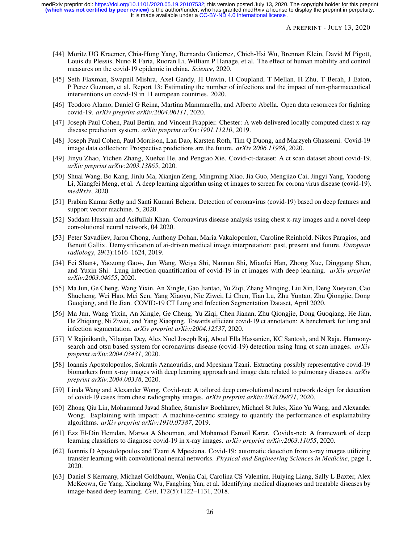- <span id="page-25-0"></span>[44] Moritz UG Kraemer, Chia-Hung Yang, Bernardo Gutierrez, Chieh-Hsi Wu, Brennan Klein, David M Pigott, Louis du Plessis, Nuno R Faria, Ruoran Li, William P Hanage, et al. The effect of human mobility and control measures on the covid-19 epidemic in china. *Science*, 2020.
- <span id="page-25-1"></span>[45] Seth Flaxman, Swapnil Mishra, Axel Gandy, H Unwin, H Coupland, T Mellan, H Zhu, T Berah, J Eaton, P Perez Guzman, et al. Report 13: Estimating the number of infections and the impact of non-pharmaceutical interventions on covid-19 in 11 european countries. 2020.
- <span id="page-25-2"></span>[46] Teodoro Alamo, Daniel G Reina, Martina Mammarella, and Alberto Abella. Open data resources for fighting covid-19. *arXiv preprint arXiv:2004.06111*, 2020.
- <span id="page-25-3"></span>[47] Joseph Paul Cohen, Paul Bertin, and Vincent Frappier. Chester: A web delivered locally computed chest x-ray disease prediction system. *arXiv preprint arXiv:1901.11210*, 2019.
- <span id="page-25-4"></span>[48] Joseph Paul Cohen, Paul Morrison, Lan Dao, Karsten Roth, Tim Q Duong, and Marzyeh Ghassemi. Covid-19 image data collection: Prospective predictions are the future. *arXiv 2006.11988*, 2020.
- <span id="page-25-5"></span>[49] Jinyu Zhao, Yichen Zhang, Xuehai He, and Pengtao Xie. Covid-ct-dataset: A ct scan dataset about covid-19. *arXiv preprint arXiv:2003.13865*, 2020.
- <span id="page-25-6"></span>[50] Shuai Wang, Bo Kang, Jinlu Ma, Xianjun Zeng, Mingming Xiao, Jia Guo, Mengjiao Cai, Jingyi Yang, Yaodong Li, Xiangfei Meng, et al. A deep learning algorithm using ct images to screen for corona virus disease (covid-19). *medRxiv*, 2020.
- <span id="page-25-7"></span>[51] Prabira Kumar Sethy and Santi Kumari Behera. Detection of coronavirus (covid-19) based on deep features and support vector machine. 5, 2020.
- <span id="page-25-8"></span>[52] Saddam Hussain and Asifullah Khan. Coronavirus disease analysis using chest x-ray images and a novel deep convolutional neural network, 04 2020.
- <span id="page-25-9"></span>[53] Peter Savadjiev, Jaron Chong, Anthony Dohan, Maria Vakalopoulou, Caroline Reinhold, Nikos Paragios, and Benoit Gallix. Demystification of ai-driven medical image interpretation: past, present and future. *European radiology*, 29(3):1616–1624, 2019.
- <span id="page-25-10"></span>[54] Fei Shan+, Yaozong Gao+, Jun Wang, Weiya Shi, Nannan Shi, Miaofei Han, Zhong Xue, Dinggang Shen, and Yuxin Shi. Lung infection quantification of covid-19 in ct images with deep learning. *arXiv preprint arXiv:2003.04655*, 2020.
- <span id="page-25-11"></span>[55] Ma Jun, Ge Cheng, Wang Yixin, An Xingle, Gao Jiantao, Yu Ziqi, Zhang Minqing, Liu Xin, Deng Xueyuan, Cao Shucheng, Wei Hao, Mei Sen, Yang Xiaoyu, Nie Ziwei, Li Chen, Tian Lu, Zhu Yuntao, Zhu Qiongjie, Dong Guoqiang, and He Jian. COVID-19 CT Lung and Infection Segmentation Dataset, April 2020.
- <span id="page-25-12"></span>[56] Ma Jun, Wang Yixin, An Xingle, Ge Cheng, Yu Ziqi, Chen Jianan, Zhu Qiongjie, Dong Guoqiang, He Jian, He Zhiqiang, Ni Ziwei, and Yang Xiaoping. Towards efficient covid-19 ct annotation: A benchmark for lung and infection segmentation. *arXiv preprint arXiv:2004.12537*, 2020.
- <span id="page-25-13"></span>[57] V Rajinikanth, Nilanjan Dey, Alex Noel Joseph Raj, Aboul Ella Hassanien, KC Santosh, and N Raja. Harmonysearch and otsu based system for coronavirus disease (covid-19) detection using lung ct scan images. *arXiv preprint arXiv:2004.03431*, 2020.
- <span id="page-25-14"></span>[58] Ioannis Apostolopoulos, Sokratis Aznaouridis, and Mpesiana Tzani. Extracting possibly representative covid-19 biomarkers from x-ray images with deep learning approach and image data related to pulmonary diseases. *arXiv preprint arXiv:2004.00338*, 2020.
- <span id="page-25-15"></span>[59] Linda Wang and Alexander Wong. Covid-net: A tailored deep convolutional neural network design for detection of covid-19 cases from chest radiography images. *arXiv preprint arXiv:2003.09871*, 2020.
- <span id="page-25-16"></span>[60] Zhong Qiu Lin, Mohammad Javad Shafiee, Stanislav Bochkarev, Michael St Jules, Xiao Yu Wang, and Alexander Wong. Explaining with impact: A machine-centric strategy to quantify the performance of explainability algorithms. *arXiv preprint arXiv:1910.07387*, 2019.
- <span id="page-25-17"></span>[61] Ezz El-Din Hemdan, Marwa A Shouman, and Mohamed Esmail Karar. Covidx-net: A framework of deep learning classifiers to diagnose covid-19 in x-ray images. *arXiv preprint arXiv:2003.11055*, 2020.
- <span id="page-25-18"></span>[62] Ioannis D Apostolopoulos and Tzani A Mpesiana. Covid-19: automatic detection from x-ray images utilizing transfer learning with convolutional neural networks. *Physical and Engineering Sciences in Medicine*, page 1, 2020.
- <span id="page-25-19"></span>[63] Daniel S Kermany, Michael Goldbaum, Wenjia Cai, Carolina CS Valentim, Huiying Liang, Sally L Baxter, Alex McKeown, Ge Yang, Xiaokang Wu, Fangbing Yan, et al. Identifying medical diagnoses and treatable diseases by image-based deep learning. *Cell*, 172(5):1122–1131, 2018.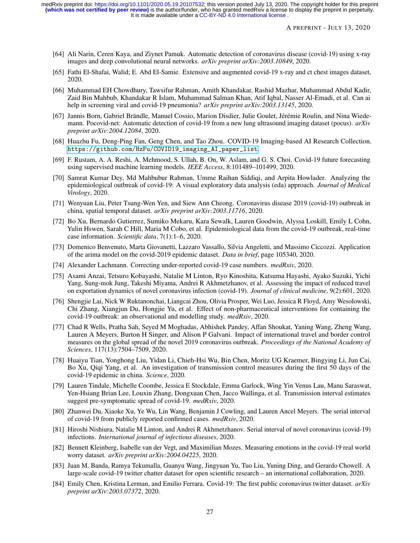- <span id="page-26-0"></span>[64] Ali Narin, Ceren Kaya, and Ziynet Pamuk. Automatic detection of coronavirus disease (covid-19) using x-ray images and deep convolutional neural networks. *arXiv preprint arXiv:2003.10849*, 2020.
- <span id="page-26-1"></span>[65] Fathi El-Shafai, Walid; E. Abd El-Samie. Extensive and augmented covid-19 x-ray and ct chest images dataset, 2020.
- <span id="page-26-2"></span>[66] Muhammad EH Chowdhury, Tawsifur Rahman, Amith Khandakar, Rashid Mazhar, Muhammad Abdul Kadir, Zaid Bin Mahbub, Khandakar R Islam, Muhammad Salman Khan, Atif Iqbal, Nasser Al-Emadi, et al. Can ai help in screening viral and covid-19 pneumonia? *arXiv preprint arXiv:2003.13145*, 2020.
- <span id="page-26-3"></span>[67] Jannis Born, Gabriel Brändle, Manuel Cossio, Marion Disdier, Julie Goulet, Jérémie Roulin, and Nina Wiedemann. Pocovid-net: Automatic detection of covid-19 from a new lung ultrasound imaging dataset (pocus). *arXiv preprint arXiv:2004.12084*, 2020.
- <span id="page-26-4"></span>[68] Huazhu Fu, Deng-Ping Fan, Geng Chen, and Tao Zhou. COVID-19 Imaging-based AI Research Collection. [https://github.com/HzFu/COVID19\\_imaging\\_AI\\_paper\\_list](https://github.com/HzFu/COVID19_imaging_AI_paper_list).
- <span id="page-26-5"></span>[69] F. Rustam, A. A. Reshi, A. Mehmood, S. Ullah, B. On, W. Aslam, and G. S. Choi. Covid-19 future forecasting using supervised machine learning models. *IEEE Access*, 8:101489–101499, 2020.
- <span id="page-26-6"></span>[70] Samrat Kumar Dey, Md Mahbubur Rahman, Umme Raihan Siddiqi, and Arpita Howlader. Analyzing the epidemiological outbreak of covid-19: A visual exploratory data analysis (eda) approach. *Journal of Medical Virology*, 2020.
- <span id="page-26-7"></span>[71] Wenyuan Liu, Peter Tsung-Wen Yen, and Siew Ann Cheong. Coronavirus disease 2019 (covid-19) outbreak in china, spatial temporal dataset. *arXiv preprint arXiv:2003.11716*, 2020.
- <span id="page-26-8"></span>[72] Bo Xu, Bernardo Gutierrez, Sumiko Mekaru, Kara Sewalk, Lauren Goodwin, Alyssa Loskill, Emily L Cohn, Yulin Hswen, Sarah C Hill, Maria M Cobo, et al. Epidemiological data from the covid-19 outbreak, real-time case information. *Scientific data*, 7(1):1–6, 2020.
- <span id="page-26-9"></span>[73] Domenico Benvenuto, Marta Giovanetti, Lazzaro Vassallo, Silvia Angeletti, and Massimo Ciccozzi. Application of the arima model on the covid-2019 epidemic dataset. *Data in brief*, page 105340, 2020.
- <span id="page-26-10"></span>[74] Alexander Lachmann. Correcting under-reported covid-19 case numbers. *medRxiv*, 2020.
- <span id="page-26-11"></span>[75] Asami Anzai, Tetsuro Kobayashi, Natalie M Linton, Ryo Kinoshita, Katsuma Hayashi, Ayako Suzuki, Yichi Yang, Sung-mok Jung, Takeshi Miyama, Andrei R Akhmetzhanov, et al. Assessing the impact of reduced travel on exportation dynamics of novel coronavirus infection (covid-19). *Journal of clinical medicine*, 9(2):601, 2020.
- <span id="page-26-12"></span>[76] Shengjie Lai, Nick W Ruktanonchai, Liangcai Zhou, Olivia Prosper, Wei Luo, Jessica R Floyd, Amy Wesolowski, Chi Zhang, Xiangjun Du, Hongjie Yu, et al. Effect of non-pharmaceutical interventions for containing the covid-19 outbreak: an observational and modelling study. *medRxiv*, 2020.
- <span id="page-26-13"></span>[77] Chad R Wells, Pratha Sah, Seyed M Moghadas, Abhishek Pandey, Affan Shoukat, Yaning Wang, Zheng Wang, Lauren A Meyers, Burton H Singer, and Alison P Galvani. Impact of international travel and border control measures on the global spread of the novel 2019 coronavirus outbreak. *Proceedings of the National Academy of Sciences*, 117(13):7504–7509, 2020.
- <span id="page-26-14"></span>[78] Huaiyu Tian, Yonghong Liu, Yidan Li, Chieh-Hsi Wu, Bin Chen, Moritz UG Kraemer, Bingying Li, Jun Cai, Bo Xu, Qiqi Yang, et al. An investigation of transmission control measures during the first 50 days of the covid-19 epidemic in china. *Science*, 2020.
- <span id="page-26-15"></span>[79] Lauren Tindale, Michelle Coombe, Jessica E Stockdale, Emma Garlock, Wing Yin Venus Lau, Manu Saraswat, Yen-Hsiang Brian Lee, Louxin Zhang, Dongxuan Chen, Jacco Wallinga, et al. Transmission interval estimates suggest pre-symptomatic spread of covid-19. *medRxiv*, 2020.
- <span id="page-26-16"></span>[80] Zhanwei Du, Xiaoke Xu, Ye Wu, Lin Wang, Benjamin J Cowling, and Lauren Ancel Meyers. The serial interval of covid-19 from publicly reported confirmed cases. *medRxiv*, 2020.
- <span id="page-26-17"></span>[81] Hiroshi Nishiura, Natalie M Linton, and Andrei R Akhmetzhanov. Serial interval of novel coronavirus (covid-19) infections. *International journal of infectious diseases*, 2020.
- <span id="page-26-18"></span>[82] Bennett Kleinberg, Isabelle van der Vegt, and Maximilian Mozes. Measuring emotions in the covid-19 real world worry dataset. *arXiv preprint arXiv:2004.04225*, 2020.
- <span id="page-26-19"></span>[83] Juan M. Banda, Ramya Tekumalla, Guanyu Wang, Jingyuan Yu, Tuo Liu, Yuning Ding, and Gerardo Chowell. A large-scale covid-19 twitter chatter dataset for open scientific research – an international collaboration, 2020.
- <span id="page-26-20"></span>[84] Emily Chen, Kristina Lerman, and Emilio Ferrara. Covid-19: The first public coronavirus twitter dataset. *arXiv preprint arXiv:2003.07372*, 2020.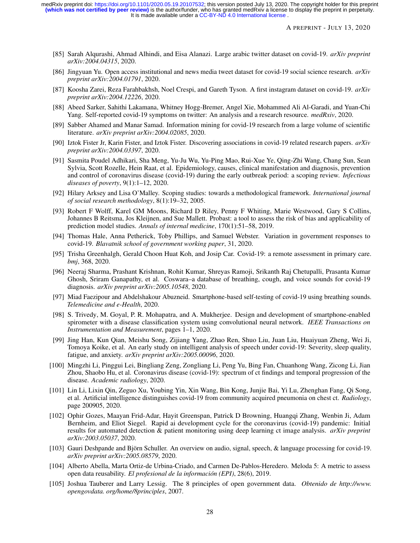It is made available under a CC-BY-ND 4.0 International license. **(which was not certified by peer review)** is the author/funder, who has granted medRxiv a license to display the preprint in perpetuity. medRxiv preprint doi: [https://doi.org/10.1101/2020.05.19.20107532;](https://doi.org/10.1101/2020.05.19.20107532) this version posted July 13, 2020. The copyright holder for this preprint

A PREPRINT - JULY 13, 2020

- <span id="page-27-0"></span>[85] Sarah Alqurashi, Ahmad Alhindi, and Eisa Alanazi. Large arabic twitter dataset on covid-19. *arXiv preprint arXiv:2004.04315*, 2020.
- <span id="page-27-1"></span>[86] Jingyuan Yu. Open access institutional and news media tweet dataset for covid-19 social science research. *arXiv preprint arXiv:2004.01791*, 2020.
- <span id="page-27-2"></span>[87] Koosha Zarei, Reza Farahbakhsh, Noel Crespi, and Gareth Tyson. A first instagram dataset on covid-19. *arXiv preprint arXiv:2004.12226*, 2020.
- <span id="page-27-3"></span>[88] Abeed Sarker, Sahithi Lakamana, Whitney Hogg-Bremer, Angel Xie, Mohammed Ali Al-Garadi, and Yuan-Chi Yang. Self-reported covid-19 symptoms on twitter: An analysis and a research resource. *medRxiv*, 2020.
- <span id="page-27-4"></span>[89] Sabber Ahamed and Manar Samad. Information mining for covid-19 research from a large volume of scientific literature. *arXiv preprint arXiv:2004.02085*, 2020.
- <span id="page-27-5"></span>[90] Iztok Fister Jr, Karin Fister, and Iztok Fister. Discovering associations in covid-19 related research papers. *arXiv preprint arXiv:2004.03397*, 2020.
- <span id="page-27-6"></span>[91] Sasmita Poudel Adhikari, Sha Meng, Yu-Ju Wu, Yu-Ping Mao, Rui-Xue Ye, Qing-Zhi Wang, Chang Sun, Sean Sylvia, Scott Rozelle, Hein Raat, et al. Epidemiology, causes, clinical manifestation and diagnosis, prevention and control of coronavirus disease (covid-19) during the early outbreak period: a scoping review. *Infectious diseases of poverty*, 9(1):1–12, 2020.
- <span id="page-27-7"></span>[92] Hilary Arksey and Lisa O'Malley. Scoping studies: towards a methodological framework. *International journal of social research methodology*, 8(1):19–32, 2005.
- <span id="page-27-8"></span>[93] Robert F Wolff, Karel GM Moons, Richard D Riley, Penny F Whiting, Marie Westwood, Gary S Collins, Johannes B Reitsma, Jos Kleijnen, and Sue Mallett. Probast: a tool to assess the risk of bias and applicability of prediction model studies. *Annals of internal medicine*, 170(1):51–58, 2019.
- <span id="page-27-9"></span>[94] Thomas Hale, Anna Petherick, Toby Phillips, and Samuel Webster. Variation in government responses to covid-19. *Blavatnik school of government working paper*, 31, 2020.
- <span id="page-27-10"></span>[95] Trisha Greenhalgh, Gerald Choon Huat Koh, and Josip Car. Covid-19: a remote assessment in primary care. *bmj*, 368, 2020.
- <span id="page-27-11"></span>[96] Neeraj Sharma, Prashant Krishnan, Rohit Kumar, Shreyas Ramoji, Srikanth Raj Chetupalli, Prasanta Kumar Ghosh, Sriram Ganapathy, et al. Coswara–a database of breathing, cough, and voice sounds for covid-19 diagnosis. *arXiv preprint arXiv:2005.10548*, 2020.
- <span id="page-27-12"></span>[97] Miad Faezipour and Abdelshakour Abuzneid. Smartphone-based self-testing of covid-19 using breathing sounds. *Telemedicine and e-Health*, 2020.
- <span id="page-27-13"></span>[98] S. Trivedy, M. Goyal, P. R. Mohapatra, and A. Mukherjee. Design and development of smartphone-enabled spirometer with a disease classification system using convolutional neural network. *IEEE Transactions on Instrumentation and Measurement*, pages 1–1, 2020.
- <span id="page-27-14"></span>[99] Jing Han, Kun Qian, Meishu Song, Zijiang Yang, Zhao Ren, Shuo Liu, Juan Liu, Huaiyuan Zheng, Wei Ji, Tomoya Koike, et al. An early study on intelligent analysis of speech under covid-19: Severity, sleep quality, fatigue, and anxiety. *arXiv preprint arXiv:2005.00096*, 2020.
- <span id="page-27-15"></span>[100] Mingzhi Li, Pinggui Lei, Bingliang Zeng, Zongliang Li, Peng Yu, Bing Fan, Chuanhong Wang, Zicong Li, Jian Zhou, Shaobo Hu, et al. Coronavirus disease (covid-19): spectrum of ct findings and temporal progression of the disease. *Academic radiology*, 2020.
- <span id="page-27-16"></span>[101] Lin Li, Lixin Qin, Zeguo Xu, Youbing Yin, Xin Wang, Bin Kong, Junjie Bai, Yi Lu, Zhenghan Fang, Qi Song, et al. Artificial intelligence distinguishes covid-19 from community acquired pneumonia on chest ct. *Radiology*, page 200905, 2020.
- <span id="page-27-17"></span>[102] Ophir Gozes, Maayan Frid-Adar, Hayit Greenspan, Patrick D Browning, Huangqi Zhang, Wenbin Ji, Adam Bernheim, and Eliot Siegel. Rapid ai development cycle for the coronavirus (covid-19) pandemic: Initial results for automated detection & patient monitoring using deep learning ct image analysis. *arXiv preprint arXiv:2003.05037*, 2020.
- <span id="page-27-18"></span>[103] Gauri Deshpande and Björn Schuller. An overview on audio, signal, speech, & language processing for covid-19. *arXiv preprint arXiv:2005.08579*, 2020.
- <span id="page-27-19"></span>[104] Alberto Abella, Marta Ortiz-de Urbina-Criado, and Carmen De-Pablos-Heredero. Meloda 5: A metric to assess open data reusability. *El profesional de la información (EPI)*, 28(6), 2019.
- <span id="page-27-20"></span>[105] Joshua Tauberer and Larry Lessig. The 8 principles of open government data. *Obtenido de http://www. opengovdata. org/home/8principles*, 2007.